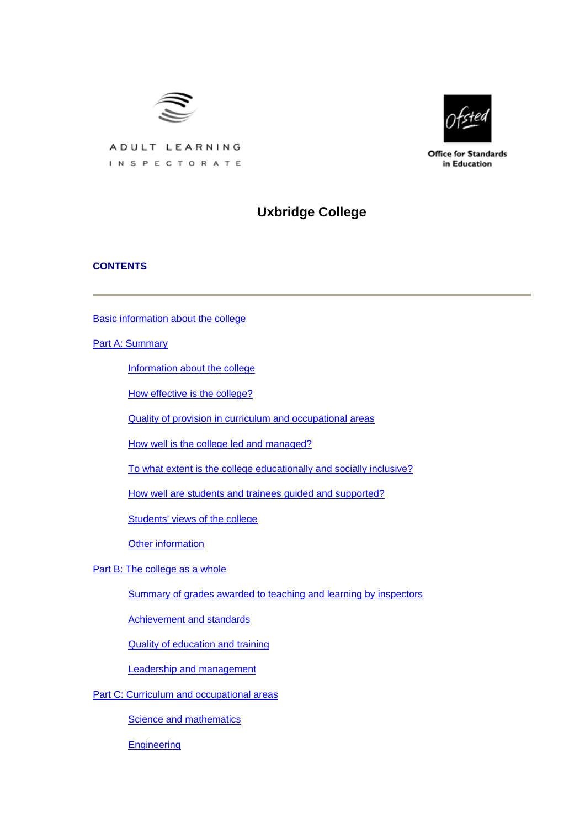



**Office for Standards** in Education

# ADULT LEARNING INSPECTORATE

# **Uxbridge College**

## **CONTENTS**

[Basic information about the college](#page-1-0)

[Part A: Summary](#page-1-0)

[Information about the college](#page-2-0)

[How effective is the college?](#page-2-0)

[Quality of provision in curriculum and occupational areas](#page-4-0)

[How well is the college led and managed?](#page-5-0)

[To what extent is the college educationally and socially inclusive?](#page-6-0)

[How well are students and trainees guided and supported?](#page-6-0)

[Students' views of the college](#page-6-0)

[Other information](#page-8-0)

[Part B: The college as a whole](#page-8-0)

[Summary of grades awarded to teaching and learning by inspectors](#page-8-0)

[Achievement and standards](#page-8-0)

[Quality of education and training](#page-11-0)

[Leadership and management](#page-14-0)

[Part C: Curriculum and occupational areas](#page-16-0)

**[Science and mathematics](#page-16-0)** 

**[Engineering](#page-19-0)**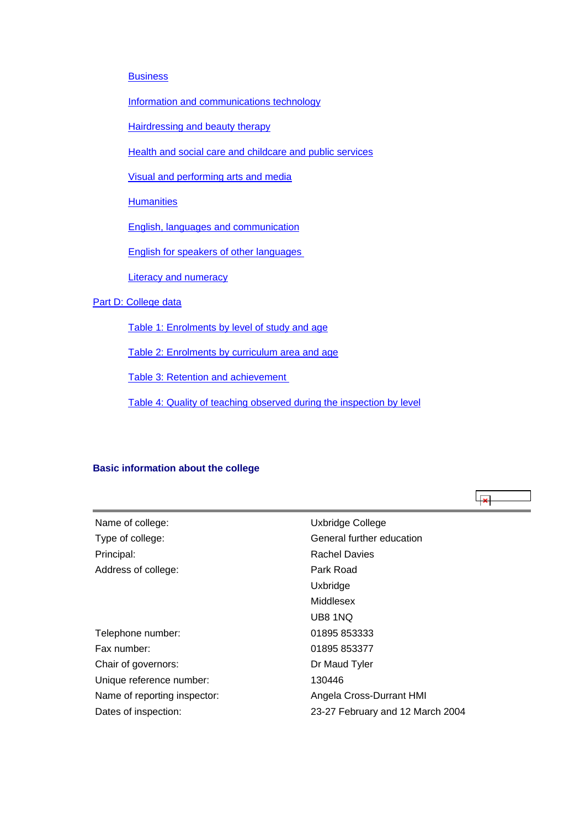## <span id="page-1-0"></span>**[Business](#page-23-0)**

[Information and communications technology](#page-26-0)

[Hairdressing and beauty therapy](#page-29-0)

[Health and social care and childcare and public services](#page-33-0)

[Visual and performing arts and media](#page-37-0)

**[Humanities](#page-40-0)** 

[English, languages and communication](#page-42-0)

[English for speakers of other languages](#page-46-0) 

**[Literacy and numeracy](#page-48-0)** 

## [Part D: College data](#page-50-0)

[Table 1: Enrolments by level of study and age](#page-51-0)

[Table 2: Enrolments by curriculum area and age](#page-51-0)

[Table 3: Retention and achievement](#page-52-0) 

[Table 4: Quality of teaching observed during the inspection by level](#page-53-0)

## **Basic information about the college**

| Name of college:             | Uxbridge College                 |
|------------------------------|----------------------------------|
| Type of college:             | General further education        |
| Principal:                   | <b>Rachel Davies</b>             |
| Address of college:          | Park Road                        |
|                              | Uxbridge                         |
|                              | Middlesex                        |
|                              | UB8 1NQ                          |
| Telephone number:            | 01895 853333                     |
| Fax number:                  | 01895 853377                     |
| Chair of governors:          | Dr Maud Tyler                    |
| Unique reference number:     | 130446                           |
| Name of reporting inspector: | Angela Cross-Durrant HMI         |
| Dates of inspection:         | 23-27 February and 12 March 2004 |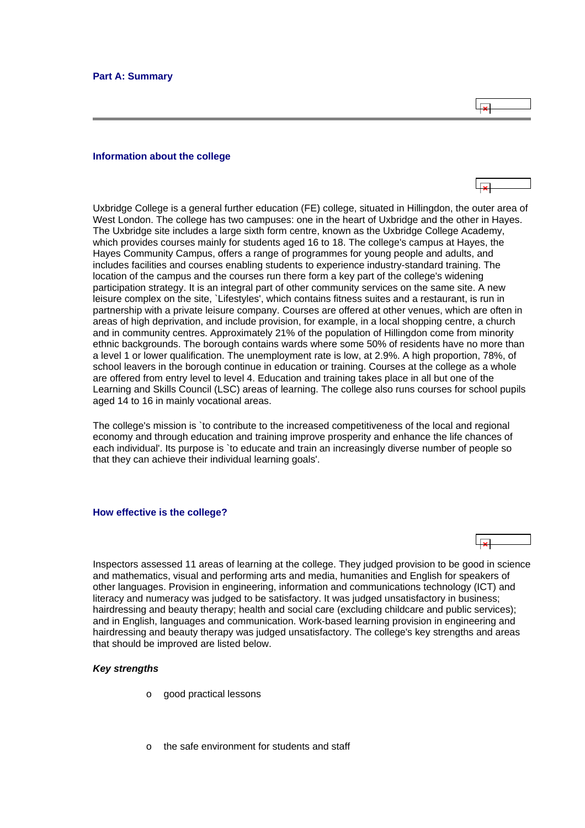$\overline{1}$ 

#### <span id="page-2-0"></span>**Information about the college**

Uxbridge College is a general further education (FE) college, situated in Hillingdon, the outer area of West London. The college has two campuses: one in the heart of Uxbridge and the other in Hayes. The Uxbridge site includes a large sixth form centre, known as the Uxbridge College Academy, which provides courses mainly for students aged 16 to 18. The college's campus at Hayes, the Hayes Community Campus, offers a range of programmes for young people and adults, and includes facilities and courses enabling students to experience industry-standard training. The location of the campus and the courses run there form a key part of the college's widening participation strategy. It is an integral part of other community services on the same site. A new leisure complex on the site, `Lifestyles', which contains fitness suites and a restaurant, is run in partnership with a private leisure company. Courses are offered at other venues, which are often in areas of high deprivation, and include provision, for example, in a local shopping centre, a church and in community centres. Approximately 21% of the population of Hillingdon come from minority ethnic backgrounds. The borough contains wards where some 50% of residents have no more than a level 1 or lower qualification. The unemployment rate is low, at 2.9%. A high proportion, 78%, of school leavers in the borough continue in education or training. Courses at the college as a whole are offered from entry level to level 4. Education and training takes place in all but one of the Learning and Skills Council (LSC) areas of learning. The college also runs courses for school pupils aged 14 to 16 in mainly vocational areas.

The college's mission is `to contribute to the increased competitiveness of the local and regional economy and through education and training improve prosperity and enhance the life chances of each individual'. Its purpose is `to educate and train an increasingly diverse number of people so that they can achieve their individual learning goals'.

#### **How effective is the college?**

Inspectors assessed 11 areas of learning at the college. They judged provision to be good in science and mathematics, visual and performing arts and media, humanities and English for speakers of other languages. Provision in engineering, information and communications technology (ICT) and literacy and numeracy was judged to be satisfactory. It was judged unsatisfactory in business; hairdressing and beauty therapy; health and social care (excluding childcare and public services); and in English, languages and communication. Work-based learning provision in engineering and hairdressing and beauty therapy was judged unsatisfactory. The college's key strengths and areas that should be improved are listed below.

#### *Key strengths*

- o good practical lessons
- o the safe environment for students and staff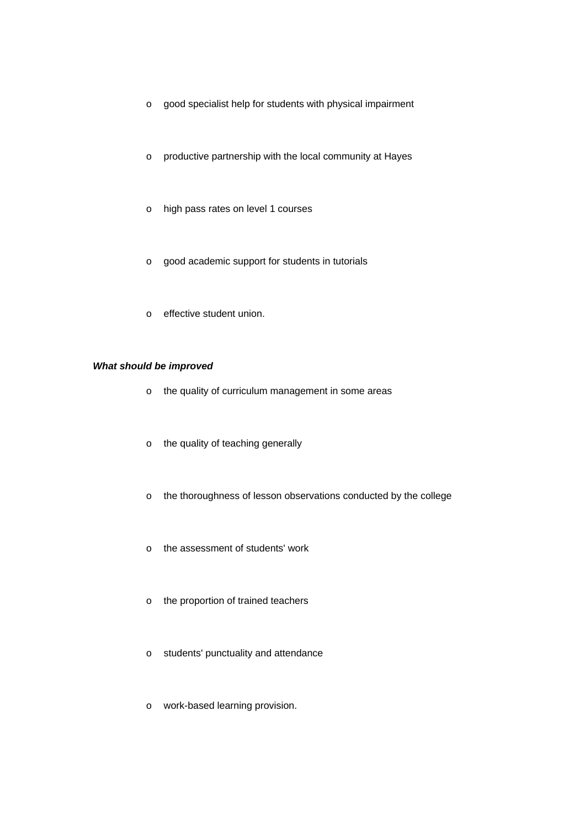- o good specialist help for students with physical impairment
- o productive partnership with the local community at Hayes
- o high pass rates on level 1 courses
- o good academic support for students in tutorials
- o effective student union.

## *What should be improved*

- o the quality of curriculum management in some areas
- o the quality of teaching generally
- o the thoroughness of lesson observations conducted by the college
- o the assessment of students' work
- o the proportion of trained teachers
- o students' punctuality and attendance
- o work-based learning provision.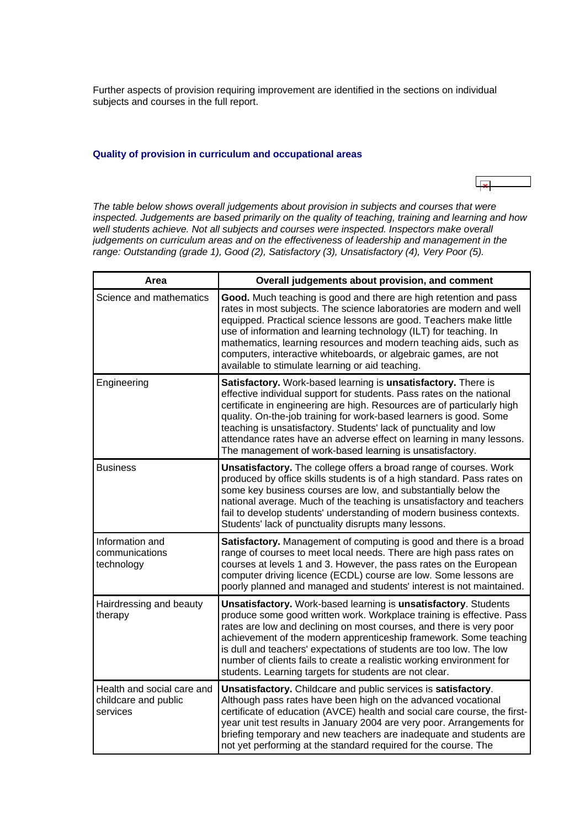<span id="page-4-0"></span>Further aspects of provision requiring improvement are identified in the sections on individual subjects and courses in the full report.

#### **Quality of provision in curriculum and occupational areas**

*The table below shows overall judgements about provision in subjects and courses that were inspected. Judgements are based primarily on the quality of teaching, training and learning and how*  well students achieve. Not all subjects and courses were inspected. Inspectors make overall *judgements on curriculum areas and on the effectiveness of leadership and management in the range: Outstanding (grade 1), Good (2), Satisfactory (3), Unsatisfactory (4), Very Poor (5).*

| Area                                                           | Overall judgements about provision, and comment                                                                                                                                                                                                                                                                                                                                                                                                                                                  |
|----------------------------------------------------------------|--------------------------------------------------------------------------------------------------------------------------------------------------------------------------------------------------------------------------------------------------------------------------------------------------------------------------------------------------------------------------------------------------------------------------------------------------------------------------------------------------|
| Science and mathematics                                        | Good. Much teaching is good and there are high retention and pass<br>rates in most subjects. The science laboratories are modern and well<br>equipped. Practical science lessons are good. Teachers make little<br>use of information and learning technology (ILT) for teaching. In<br>mathematics, learning resources and modern teaching aids, such as<br>computers, interactive whiteboards, or algebraic games, are not<br>available to stimulate learning or aid teaching.                 |
| Engineering                                                    | Satisfactory. Work-based learning is unsatisfactory. There is<br>effective individual support for students. Pass rates on the national<br>certificate in engineering are high. Resources are of particularly high<br>quality. On-the-job training for work-based learners is good. Some<br>teaching is unsatisfactory. Students' lack of punctuality and low<br>attendance rates have an adverse effect on learning in many lessons.<br>The management of work-based learning is unsatisfactory. |
| <b>Business</b>                                                | <b>Unsatisfactory.</b> The college offers a broad range of courses. Work<br>produced by office skills students is of a high standard. Pass rates on<br>some key business courses are low, and substantially below the<br>national average. Much of the teaching is unsatisfactory and teachers<br>fail to develop students' understanding of modern business contexts.<br>Students' lack of punctuality disrupts many lessons.                                                                   |
| Information and<br>communications<br>technology                | Satisfactory. Management of computing is good and there is a broad<br>range of courses to meet local needs. There are high pass rates on<br>courses at levels 1 and 3. However, the pass rates on the European<br>computer driving licence (ECDL) course are low. Some lessons are<br>poorly planned and managed and students' interest is not maintained.                                                                                                                                       |
| Hairdressing and beauty<br>therapy                             | Unsatisfactory. Work-based learning is unsatisfactory. Students<br>produce some good written work. Workplace training is effective. Pass<br>rates are low and declining on most courses, and there is very poor<br>achievement of the modern apprenticeship framework. Some teaching<br>is dull and teachers' expectations of students are too low. The low<br>number of clients fails to create a realistic working environment for<br>students. Learning targets for students are not clear.   |
| Health and social care and<br>childcare and public<br>services | Unsatisfactory. Childcare and public services is satisfactory.<br>Although pass rates have been high on the advanced vocational<br>certificate of education (AVCE) health and social care course, the first-<br>year unit test results in January 2004 are very poor. Arrangements for<br>briefing temporary and new teachers are inadequate and students are<br>not yet performing at the standard required for the course. The                                                                 |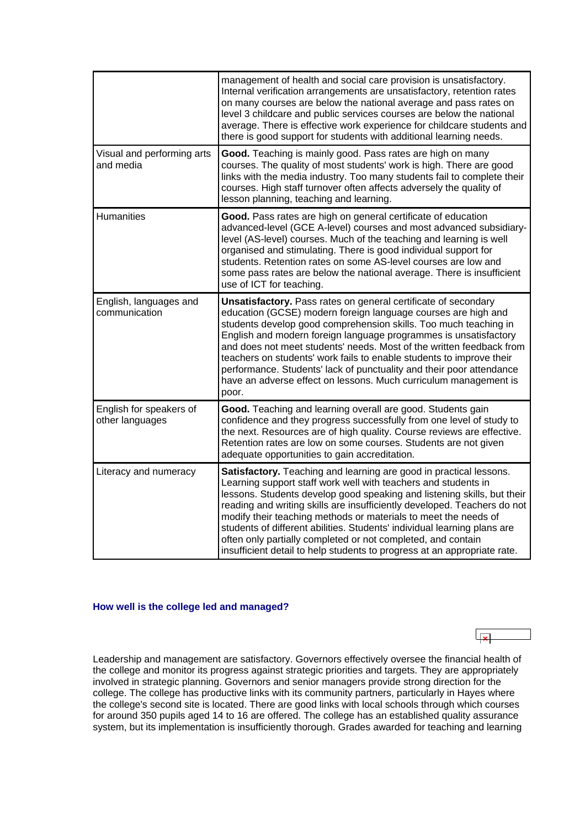<span id="page-5-0"></span>

|                                            | management of health and social care provision is unsatisfactory.<br>Internal verification arrangements are unsatisfactory, retention rates<br>on many courses are below the national average and pass rates on<br>level 3 childcare and public services courses are below the national<br>average. There is effective work experience for childcare students and<br>there is good support for students with additional learning needs.                                                                                                                                                |
|--------------------------------------------|----------------------------------------------------------------------------------------------------------------------------------------------------------------------------------------------------------------------------------------------------------------------------------------------------------------------------------------------------------------------------------------------------------------------------------------------------------------------------------------------------------------------------------------------------------------------------------------|
| Visual and performing arts<br>and media    | Good. Teaching is mainly good. Pass rates are high on many<br>courses. The quality of most students' work is high. There are good<br>links with the media industry. Too many students fail to complete their<br>courses. High staff turnover often affects adversely the quality of<br>lesson planning, teaching and learning.                                                                                                                                                                                                                                                         |
| <b>Humanities</b>                          | Good. Pass rates are high on general certificate of education<br>advanced-level (GCE A-level) courses and most advanced subsidiary-<br>level (AS-level) courses. Much of the teaching and learning is well<br>organised and stimulating. There is good individual support for<br>students. Retention rates on some AS-level courses are low and<br>some pass rates are below the national average. There is insufficient<br>use of ICT for teaching.                                                                                                                                   |
| English, languages and<br>communication    | Unsatisfactory. Pass rates on general certificate of secondary<br>education (GCSE) modern foreign language courses are high and<br>students develop good comprehension skills. Too much teaching in<br>English and modern foreign language programmes is unsatisfactory<br>and does not meet students' needs. Most of the written feedback from<br>teachers on students' work fails to enable students to improve their<br>performance. Students' lack of punctuality and their poor attendance<br>have an adverse effect on lessons. Much curriculum management is<br>poor.           |
| English for speakers of<br>other languages | Good. Teaching and learning overall are good. Students gain<br>confidence and they progress successfully from one level of study to<br>the next. Resources are of high quality. Course reviews are effective.<br>Retention rates are low on some courses. Students are not given<br>adequate opportunities to gain accreditation.                                                                                                                                                                                                                                                      |
| Literacy and numeracy                      | Satisfactory. Teaching and learning are good in practical lessons.<br>Learning support staff work well with teachers and students in<br>lessons. Students develop good speaking and listening skills, but their<br>reading and writing skills are insufficiently developed. Teachers do not<br>modify their teaching methods or materials to meet the needs of<br>students of different abilities. Students' individual learning plans are<br>often only partially completed or not completed, and contain<br>insufficient detail to help students to progress at an appropriate rate. |

## **How well is the college led and managed?**

Leadership and management are satisfactory. Governors effectively oversee the financial health of the college and monitor its progress against strategic priorities and targets. They are appropriately involved in strategic planning. Governors and senior managers provide strong direction for the college. The college has productive links with its community partners, particularly in Hayes where the college's second site is located. There are good links with local schools through which courses for around 350 pupils aged 14 to 16 are offered. The college has an established quality assurance system, but its implementation is insufficiently thorough. Grades awarded for teaching and learning

 $\overline{1}$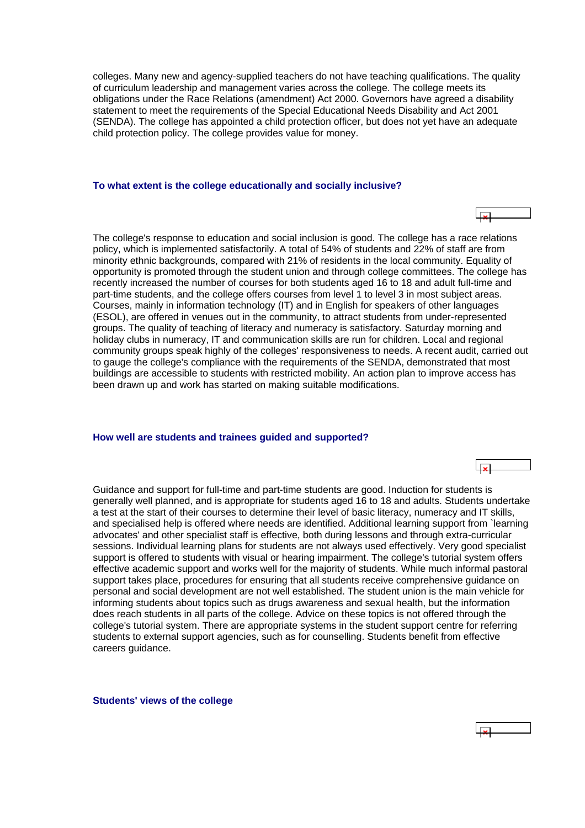<span id="page-6-0"></span>colleges. Many new and agency-supplied teachers do not have teaching qualifications. The quality of curriculum leadership and management varies across the college. The college meets its obligations under the Race Relations (amendment) Act 2000. Governors have agreed a disability statement to meet the requirements of the Special Educational Needs Disability and Act 2001 (SENDA). The college has appointed a child protection officer, but does not yet have an adequate child protection policy. The college provides value for money.

#### **To what extent is the college educationally and socially inclusive?**

The college's response to education and social inclusion is good. The college has a race relations policy, which is implemented satisfactorily. A total of 54% of students and 22% of staff are from minority ethnic backgrounds, compared with 21% of residents in the local community. Equality of opportunity is promoted through the student union and through college committees. The college has recently increased the number of courses for both students aged 16 to 18 and adult full-time and part-time students, and the college offers courses from level 1 to level 3 in most subject areas. Courses, mainly in information technology (IT) and in English for speakers of other languages (ESOL), are offered in venues out in the community, to attract students from under-represented groups. The quality of teaching of literacy and numeracy is satisfactory. Saturday morning and holiday clubs in numeracy, IT and communication skills are run for children. Local and regional community groups speak highly of the colleges' responsiveness to needs. A recent audit, carried out to gauge the college's compliance with the requirements of the SENDA, demonstrated that most buildings are accessible to students with restricted mobility. An action plan to improve access has been drawn up and work has started on making suitable modifications.

#### **How well are students and trainees guided and supported?**

Guidance and support for full-time and part-time students are good. Induction for students is generally well planned, and is appropriate for students aged 16 to 18 and adults. Students undertake a test at the start of their courses to determine their level of basic literacy, numeracy and IT skills, and specialised help is offered where needs are identified. Additional learning support from `learning advocates' and other specialist staff is effective, both during lessons and through extra-curricular sessions. Individual learning plans for students are not always used effectively. Very good specialist support is offered to students with visual or hearing impairment. The college's tutorial system offers effective academic support and works well for the majority of students. While much informal pastoral support takes place, procedures for ensuring that all students receive comprehensive guidance on personal and social development are not well established. The student union is the main vehicle for informing students about topics such as drugs awareness and sexual health, but the information does reach students in all parts of the college. Advice on these topics is not offered through the college's tutorial system. There are appropriate systems in the student support centre for referring students to external support agencies, such as for counselling. Students benefit from effective careers guidance.

 $\overline{\mathbf{r}}$ 

**Students' views of the college**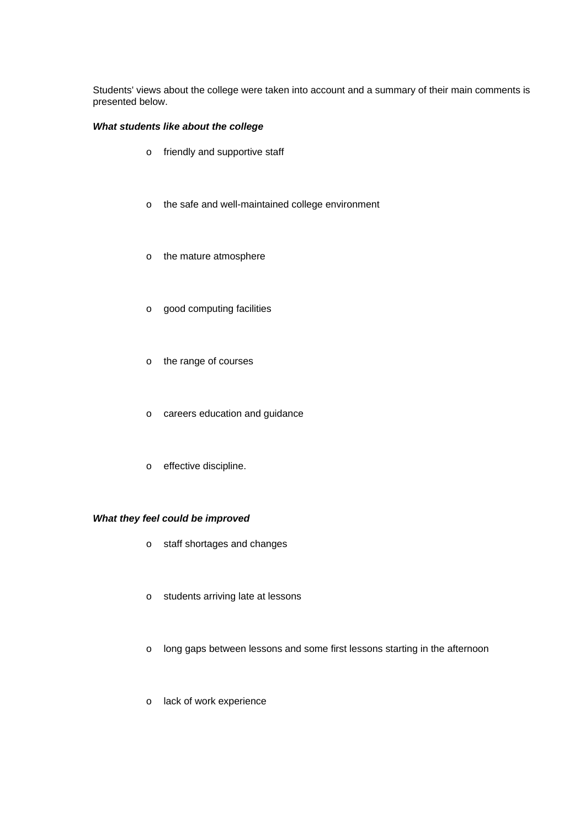Students' views about the college were taken into account and a summary of their main comments is presented below.

## *What students like about the college*

- o friendly and supportive staff
- o the safe and well-maintained college environment
- o the mature atmosphere
- o good computing facilities
- o the range of courses
- o careers education and guidance
- o effective discipline.

## *What they feel could be improved*

- o staff shortages and changes
- o students arriving late at lessons
- o long gaps between lessons and some first lessons starting in the afternoon
- o lack of work experience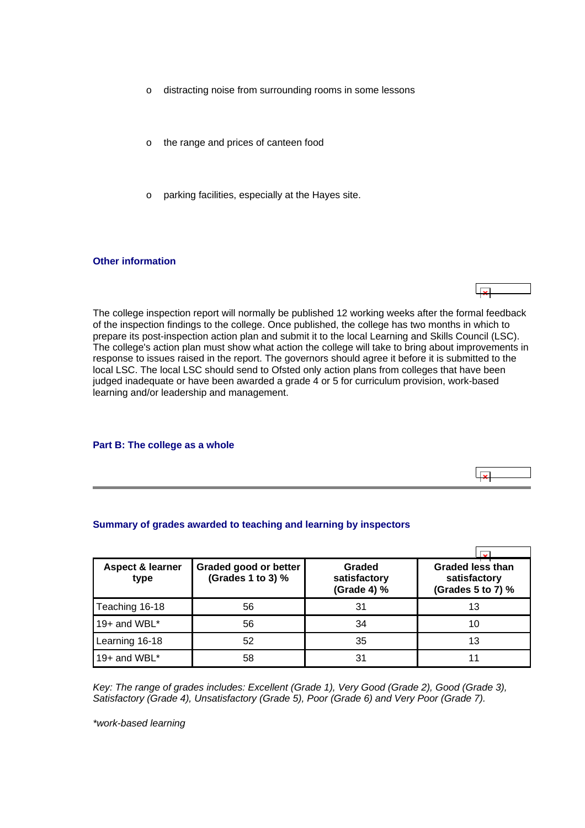- <span id="page-8-0"></span>o distracting noise from surrounding rooms in some lessons
- o the range and prices of canteen food
- o parking facilities, especially at the Hayes site.

#### **Other information**

The college inspection report will normally be published 12 working weeks after the formal feedback of the inspection findings to the college. Once published, the college has two months in which to prepare its post-inspection action plan and submit it to the local Learning and Skills Council (LSC). The college's action plan must show what action the college will take to bring about improvements in response to issues raised in the report. The governors should agree it before it is submitted to the local LSC. The local LSC should send to Ofsted only action plans from colleges that have been judged inadequate or have been awarded a grade 4 or 5 for curriculum provision, work-based learning and/or leadership and management.

ا بودا ا

 $\overline{1}$ 

#### **Part B: The college as a whole**

#### **Summary of grades awarded to teaching and learning by inspectors**

| <b>Aspect &amp; learner</b><br>type | Graded good or better<br>(Grades 1 to 3) % | Graded<br>satisfactory<br>(Grade 4) % | <b>Graded less than</b><br>satisfactory<br>(Grades 5 to 7) % |
|-------------------------------------|--------------------------------------------|---------------------------------------|--------------------------------------------------------------|
| Teaching 16-18                      | 56                                         | 31                                    | 13                                                           |
| 19+ and WBL $*$                     | 56                                         | 34                                    | 10                                                           |
| Learning 16-18                      | 52                                         | 35                                    | 13                                                           |
| 19+ and WBL*                        | 58                                         | 31                                    |                                                              |

*Key: The range of grades includes: Excellent (Grade 1), Very Good (Grade 2), Good (Grade 3), Satisfactory (Grade 4), Unsatisfactory (Grade 5), Poor (Grade 6) and Very Poor (Grade 7).*

*\*work-based learning*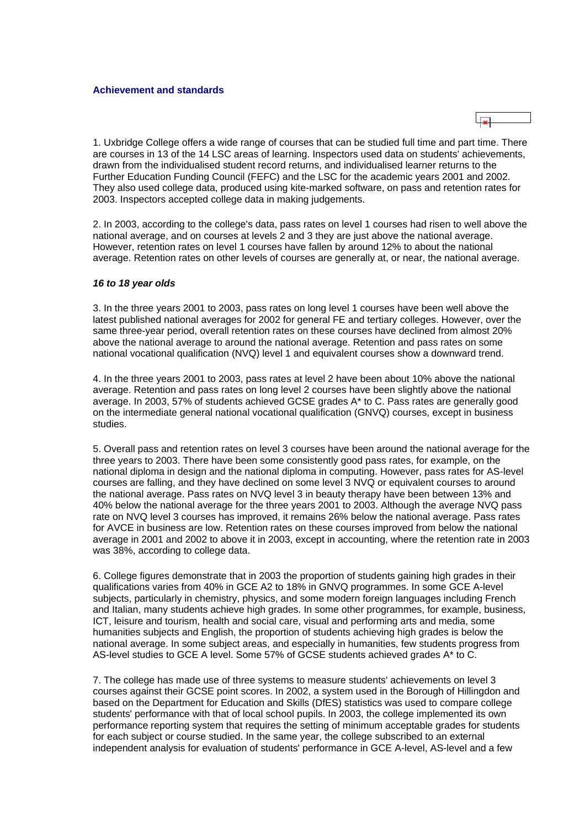

1. Uxbridge College offers a wide range of courses that can be studied full time and part time. There are courses in 13 of the 14 LSC areas of learning. Inspectors used data on students' achievements, drawn from the individualised student record returns, and individualised learner returns to the Further Education Funding Council (FEFC) and the LSC for the academic years 2001 and 2002. They also used college data, produced using kite-marked software, on pass and retention rates for 2003. Inspectors accepted college data in making judgements.

2. In 2003, according to the college's data, pass rates on level 1 courses had risen to well above the national average, and on courses at levels 2 and 3 they are just above the national average. However, retention rates on level 1 courses have fallen by around 12% to about the national average. Retention rates on other levels of courses are generally at, or near, the national average.

#### *16 to 18 year olds*

3. In the three years 2001 to 2003, pass rates on long level 1 courses have been well above the latest published national averages for 2002 for general FE and tertiary colleges. However, over the same three-year period, overall retention rates on these courses have declined from almost 20% above the national average to around the national average. Retention and pass rates on some national vocational qualification (NVQ) level 1 and equivalent courses show a downward trend.

4. In the three years 2001 to 2003, pass rates at level 2 have been about 10% above the national average. Retention and pass rates on long level 2 courses have been slightly above the national average. In 2003, 57% of students achieved GCSE grades A\* to C. Pass rates are generally good on the intermediate general national vocational qualification (GNVQ) courses, except in business studies.

5. Overall pass and retention rates on level 3 courses have been around the national average for the three years to 2003. There have been some consistently good pass rates, for example, on the national diploma in design and the national diploma in computing. However, pass rates for AS-level courses are falling, and they have declined on some level 3 NVQ or equivalent courses to around the national average. Pass rates on NVQ level 3 in beauty therapy have been between 13% and 40% below the national average for the three years 2001 to 2003. Although the average NVQ pass rate on NVQ level 3 courses has improved, it remains 26% below the national average. Pass rates for AVCE in business are low. Retention rates on these courses improved from below the national average in 2001 and 2002 to above it in 2003, except in accounting, where the retention rate in 2003 was 38%, according to college data.

6. College figures demonstrate that in 2003 the proportion of students gaining high grades in their qualifications varies from 40% in GCE A2 to 18% in GNVQ programmes. In some GCE A-level subjects, particularly in chemistry, physics, and some modern foreign languages including French and Italian, many students achieve high grades. In some other programmes, for example, business, ICT, leisure and tourism, health and social care, visual and performing arts and media, some humanities subjects and English, the proportion of students achieving high grades is below the national average. In some subject areas, and especially in humanities, few students progress from AS-level studies to GCE A level. Some 57% of GCSE students achieved grades A\* to C.

7. The college has made use of three systems to measure students' achievements on level 3 courses against their GCSE point scores. In 2002, a system used in the Borough of Hillingdon and based on the Department for Education and Skills (DfES) statistics was used to compare college students' performance with that of local school pupils. In 2003, the college implemented its own performance reporting system that requires the setting of minimum acceptable grades for students for each subject or course studied. In the same year, the college subscribed to an external independent analysis for evaluation of students' performance in GCE A-level, AS-level and a few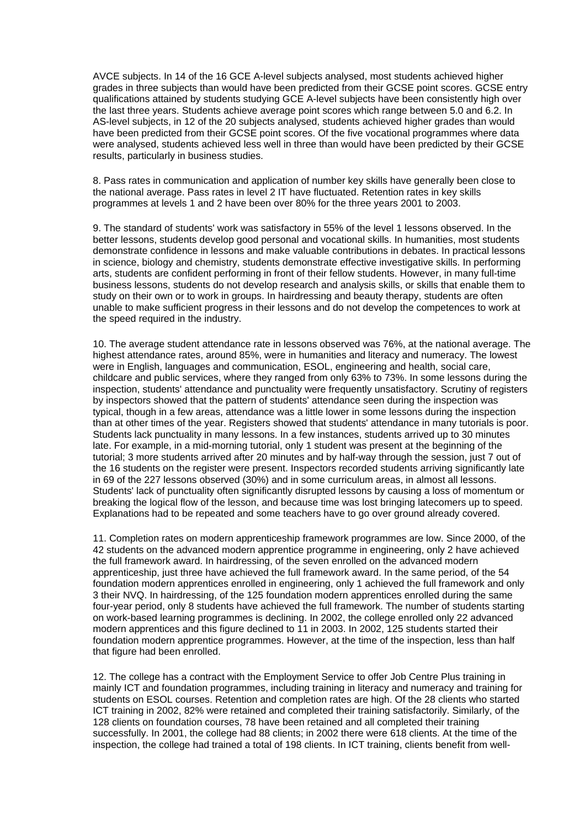AVCE subjects. In 14 of the 16 GCE A-level subjects analysed, most students achieved higher grades in three subjects than would have been predicted from their GCSE point scores. GCSE entry qualifications attained by students studying GCE A-level subjects have been consistently high over the last three years. Students achieve average point scores which range between 5.0 and 6.2. In AS-level subjects, in 12 of the 20 subjects analysed, students achieved higher grades than would have been predicted from their GCSE point scores. Of the five vocational programmes where data were analysed, students achieved less well in three than would have been predicted by their GCSE results, particularly in business studies.

8. Pass rates in communication and application of number key skills have generally been close to the national average. Pass rates in level 2 IT have fluctuated. Retention rates in key skills programmes at levels 1 and 2 have been over 80% for the three years 2001 to 2003.

9. The standard of students' work was satisfactory in 55% of the level 1 lessons observed. In the better lessons, students develop good personal and vocational skills. In humanities, most students demonstrate confidence in lessons and make valuable contributions in debates. In practical lessons in science, biology and chemistry, students demonstrate effective investigative skills. In performing arts, students are confident performing in front of their fellow students. However, in many full-time business lessons, students do not develop research and analysis skills, or skills that enable them to study on their own or to work in groups. In hairdressing and beauty therapy, students are often unable to make sufficient progress in their lessons and do not develop the competences to work at the speed required in the industry.

10. The average student attendance rate in lessons observed was 76%, at the national average. The highest attendance rates, around 85%, were in humanities and literacy and numeracy. The lowest were in English, languages and communication, ESOL, engineering and health, social care, childcare and public services, where they ranged from only 63% to 73%. In some lessons during the inspection, students' attendance and punctuality were frequently unsatisfactory. Scrutiny of registers by inspectors showed that the pattern of students' attendance seen during the inspection was typical, though in a few areas, attendance was a little lower in some lessons during the inspection than at other times of the year. Registers showed that students' attendance in many tutorials is poor. Students lack punctuality in many lessons. In a few instances, students arrived up to 30 minutes late. For example, in a mid-morning tutorial, only 1 student was present at the beginning of the tutorial; 3 more students arrived after 20 minutes and by half-way through the session, just 7 out of the 16 students on the register were present. Inspectors recorded students arriving significantly late in 69 of the 227 lessons observed (30%) and in some curriculum areas, in almost all lessons. Students' lack of punctuality often significantly disrupted lessons by causing a loss of momentum or breaking the logical flow of the lesson, and because time was lost bringing latecomers up to speed. Explanations had to be repeated and some teachers have to go over ground already covered.

11. Completion rates on modern apprenticeship framework programmes are low. Since 2000, of the 42 students on the advanced modern apprentice programme in engineering, only 2 have achieved the full framework award. In hairdressing, of the seven enrolled on the advanced modern apprenticeship, just three have achieved the full framework award. In the same period, of the 54 foundation modern apprentices enrolled in engineering, only 1 achieved the full framework and only 3 their NVQ. In hairdressing, of the 125 foundation modern apprentices enrolled during the same four-year period, only 8 students have achieved the full framework. The number of students starting on work-based learning programmes is declining. In 2002, the college enrolled only 22 advanced modern apprentices and this figure declined to 11 in 2003. In 2002, 125 students started their foundation modern apprentice programmes. However, at the time of the inspection, less than half that figure had been enrolled.

12. The college has a contract with the Employment Service to offer Job Centre Plus training in mainly ICT and foundation programmes, including training in literacy and numeracy and training for students on ESOL courses. Retention and completion rates are high. Of the 28 clients who started ICT training in 2002, 82% were retained and completed their training satisfactorily. Similarly, of the 128 clients on foundation courses, 78 have been retained and all completed their training successfully. In 2001, the college had 88 clients; in 2002 there were 618 clients. At the time of the inspection, the college had trained a total of 198 clients. In ICT training, clients benefit from well-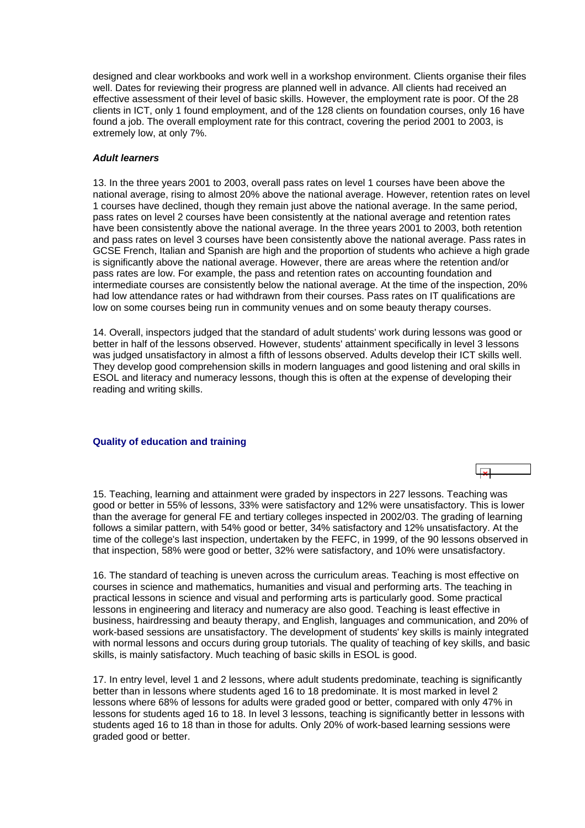<span id="page-11-0"></span>designed and clear workbooks and work well in a workshop environment. Clients organise their files well. Dates for reviewing their progress are planned well in advance. All clients had received an effective assessment of their level of basic skills. However, the employment rate is poor. Of the 28 clients in ICT, only 1 found employment, and of the 128 clients on foundation courses, only 16 have found a job. The overall employment rate for this contract, covering the period 2001 to 2003, is extremely low, at only 7%.

## *Adult learners*

13. In the three years 2001 to 2003, overall pass rates on level 1 courses have been above the national average, rising to almost 20% above the national average. However, retention rates on level 1 courses have declined, though they remain just above the national average. In the same period, pass rates on level 2 courses have been consistently at the national average and retention rates have been consistently above the national average. In the three years 2001 to 2003, both retention and pass rates on level 3 courses have been consistently above the national average. Pass rates in GCSE French, Italian and Spanish are high and the proportion of students who achieve a high grade is significantly above the national average. However, there are areas where the retention and/or pass rates are low. For example, the pass and retention rates on accounting foundation and intermediate courses are consistently below the national average. At the time of the inspection, 20% had low attendance rates or had withdrawn from their courses. Pass rates on IT qualifications are low on some courses being run in community venues and on some beauty therapy courses.

14. Overall, inspectors judged that the standard of adult students' work during lessons was good or better in half of the lessons observed. However, students' attainment specifically in level 3 lessons was judged unsatisfactory in almost a fifth of lessons observed. Adults develop their ICT skills well. They develop good comprehension skills in modern languages and good listening and oral skills in ESOL and literacy and numeracy lessons, though this is often at the expense of developing their reading and writing skills.

#### **Quality of education and training**

15. Teaching, learning and attainment were graded by inspectors in 227 lessons. Teaching was good or better in 55% of lessons, 33% were satisfactory and 12% were unsatisfactory. This is lower than the average for general FE and tertiary colleges inspected in 2002/03. The grading of learning follows a similar pattern, with 54% good or better, 34% satisfactory and 12% unsatisfactory. At the time of the college's last inspection, undertaken by the FEFC, in 1999, of the 90 lessons observed in that inspection, 58% were good or better, 32% were satisfactory, and 10% were unsatisfactory.

16. The standard of teaching is uneven across the curriculum areas. Teaching is most effective on courses in science and mathematics, humanities and visual and performing arts. The teaching in practical lessons in science and visual and performing arts is particularly good. Some practical lessons in engineering and literacy and numeracy are also good. Teaching is least effective in business, hairdressing and beauty therapy, and English, languages and communication, and 20% of work-based sessions are unsatisfactory. The development of students' key skills is mainly integrated with normal lessons and occurs during group tutorials. The quality of teaching of key skills, and basic skills, is mainly satisfactory. Much teaching of basic skills in ESOL is good.

17. In entry level, level 1 and 2 lessons, where adult students predominate, teaching is significantly better than in lessons where students aged 16 to 18 predominate. It is most marked in level 2 lessons where 68% of lessons for adults were graded good or better, compared with only 47% in lessons for students aged 16 to 18. In level 3 lessons, teaching is significantly better in lessons with students aged 16 to 18 than in those for adults. Only 20% of work-based learning sessions were graded good or better.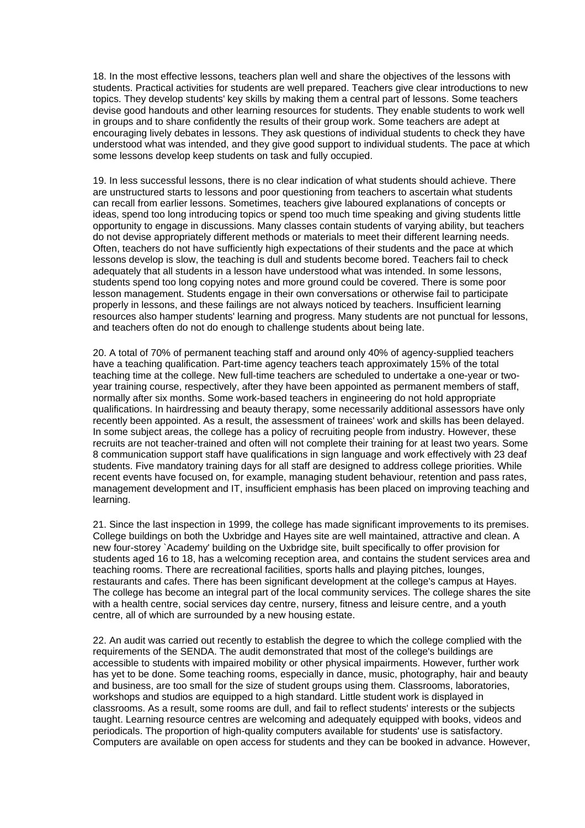18. In the most effective lessons, teachers plan well and share the objectives of the lessons with students. Practical activities for students are well prepared. Teachers give clear introductions to new topics. They develop students' key skills by making them a central part of lessons. Some teachers devise good handouts and other learning resources for students. They enable students to work well in groups and to share confidently the results of their group work. Some teachers are adept at encouraging lively debates in lessons. They ask questions of individual students to check they have understood what was intended, and they give good support to individual students. The pace at which some lessons develop keep students on task and fully occupied.

19. In less successful lessons, there is no clear indication of what students should achieve. There are unstructured starts to lessons and poor questioning from teachers to ascertain what students can recall from earlier lessons. Sometimes, teachers give laboured explanations of concepts or ideas, spend too long introducing topics or spend too much time speaking and giving students little opportunity to engage in discussions. Many classes contain students of varying ability, but teachers do not devise appropriately different methods or materials to meet their different learning needs. Often, teachers do not have sufficiently high expectations of their students and the pace at which lessons develop is slow, the teaching is dull and students become bored. Teachers fail to check adequately that all students in a lesson have understood what was intended. In some lessons, students spend too long copying notes and more ground could be covered. There is some poor lesson management. Students engage in their own conversations or otherwise fail to participate properly in lessons, and these failings are not always noticed by teachers. Insufficient learning resources also hamper students' learning and progress. Many students are not punctual for lessons, and teachers often do not do enough to challenge students about being late.

20. A total of 70% of permanent teaching staff and around only 40% of agency-supplied teachers have a teaching qualification. Part-time agency teachers teach approximately 15% of the total teaching time at the college. New full-time teachers are scheduled to undertake a one-year or twoyear training course, respectively, after they have been appointed as permanent members of staff, normally after six months. Some work-based teachers in engineering do not hold appropriate qualifications. In hairdressing and beauty therapy, some necessarily additional assessors have only recently been appointed. As a result, the assessment of trainees' work and skills has been delayed. In some subject areas, the college has a policy of recruiting people from industry. However, these recruits are not teacher-trained and often will not complete their training for at least two years. Some 8 communication support staff have qualifications in sign language and work effectively with 23 deaf students. Five mandatory training days for all staff are designed to address college priorities. While recent events have focused on, for example, managing student behaviour, retention and pass rates, management development and IT, insufficient emphasis has been placed on improving teaching and learning.

21. Since the last inspection in 1999, the college has made significant improvements to its premises. College buildings on both the Uxbridge and Hayes site are well maintained, attractive and clean. A new four-storey `Academy' building on the Uxbridge site, built specifically to offer provision for students aged 16 to 18, has a welcoming reception area, and contains the student services area and teaching rooms. There are recreational facilities, sports halls and playing pitches, lounges, restaurants and cafes. There has been significant development at the college's campus at Hayes. The college has become an integral part of the local community services. The college shares the site with a health centre, social services day centre, nursery, fitness and leisure centre, and a youth centre, all of which are surrounded by a new housing estate.

22. An audit was carried out recently to establish the degree to which the college complied with the requirements of the SENDA. The audit demonstrated that most of the college's buildings are accessible to students with impaired mobility or other physical impairments. However, further work has yet to be done. Some teaching rooms, especially in dance, music, photography, hair and beauty and business, are too small for the size of student groups using them. Classrooms, laboratories, workshops and studios are equipped to a high standard. Little student work is displayed in classrooms. As a result, some rooms are dull, and fail to reflect students' interests or the subjects taught. Learning resource centres are welcoming and adequately equipped with books, videos and periodicals. The proportion of high-quality computers available for students' use is satisfactory. Computers are available on open access for students and they can be booked in advance. However,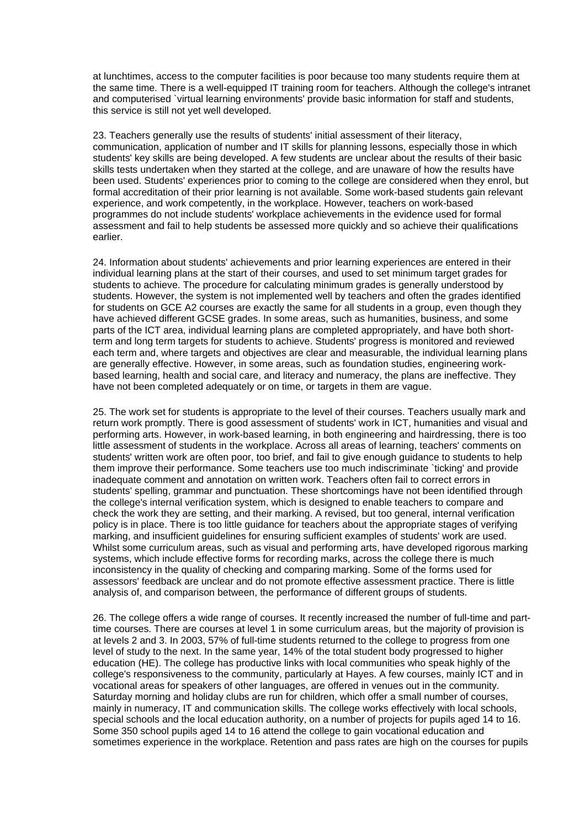at lunchtimes, access to the computer facilities is poor because too many students require them at the same time. There is a well-equipped IT training room for teachers. Although the college's intranet and computerised `virtual learning environments' provide basic information for staff and students, this service is still not yet well developed.

23. Teachers generally use the results of students' initial assessment of their literacy, communication, application of number and IT skills for planning lessons, especially those in which students' key skills are being developed. A few students are unclear about the results of their basic skills tests undertaken when they started at the college, and are unaware of how the results have been used. Students' experiences prior to coming to the college are considered when they enrol, but formal accreditation of their prior learning is not available. Some work-based students gain relevant experience, and work competently, in the workplace. However, teachers on work-based programmes do not include students' workplace achievements in the evidence used for formal assessment and fail to help students be assessed more quickly and so achieve their qualifications earlier.

24. Information about students' achievements and prior learning experiences are entered in their individual learning plans at the start of their courses, and used to set minimum target grades for students to achieve. The procedure for calculating minimum grades is generally understood by students. However, the system is not implemented well by teachers and often the grades identified for students on GCE A2 courses are exactly the same for all students in a group, even though they have achieved different GCSE grades. In some areas, such as humanities, business, and some parts of the ICT area, individual learning plans are completed appropriately, and have both shortterm and long term targets for students to achieve. Students' progress is monitored and reviewed each term and, where targets and objectives are clear and measurable, the individual learning plans are generally effective. However, in some areas, such as foundation studies, engineering workbased learning, health and social care, and literacy and numeracy, the plans are ineffective. They have not been completed adequately or on time, or targets in them are vague.

25. The work set for students is appropriate to the level of their courses. Teachers usually mark and return work promptly. There is good assessment of students' work in ICT, humanities and visual and performing arts. However, in work-based learning, in both engineering and hairdressing, there is too little assessment of students in the workplace. Across all areas of learning, teachers' comments on students' written work are often poor, too brief, and fail to give enough guidance to students to help them improve their performance. Some teachers use too much indiscriminate `ticking' and provide inadequate comment and annotation on written work. Teachers often fail to correct errors in students' spelling, grammar and punctuation. These shortcomings have not been identified through the college's internal verification system, which is designed to enable teachers to compare and check the work they are setting, and their marking. A revised, but too general, internal verification policy is in place. There is too little guidance for teachers about the appropriate stages of verifying marking, and insufficient guidelines for ensuring sufficient examples of students' work are used. Whilst some curriculum areas, such as visual and performing arts, have developed rigorous marking systems, which include effective forms for recording marks, across the college there is much inconsistency in the quality of checking and comparing marking. Some of the forms used for assessors' feedback are unclear and do not promote effective assessment practice. There is little analysis of, and comparison between, the performance of different groups of students.

26. The college offers a wide range of courses. It recently increased the number of full-time and parttime courses. There are courses at level 1 in some curriculum areas, but the majority of provision is at levels 2 and 3. In 2003, 57% of full-time students returned to the college to progress from one level of study to the next. In the same year, 14% of the total student body progressed to higher education (HE). The college has productive links with local communities who speak highly of the college's responsiveness to the community, particularly at Hayes. A few courses, mainly ICT and in vocational areas for speakers of other languages, are offered in venues out in the community. Saturday morning and holiday clubs are run for children, which offer a small number of courses, mainly in numeracy, IT and communication skills. The college works effectively with local schools, special schools and the local education authority, on a number of projects for pupils aged 14 to 16. Some 350 school pupils aged 14 to 16 attend the college to gain vocational education and sometimes experience in the workplace. Retention and pass rates are high on the courses for pupils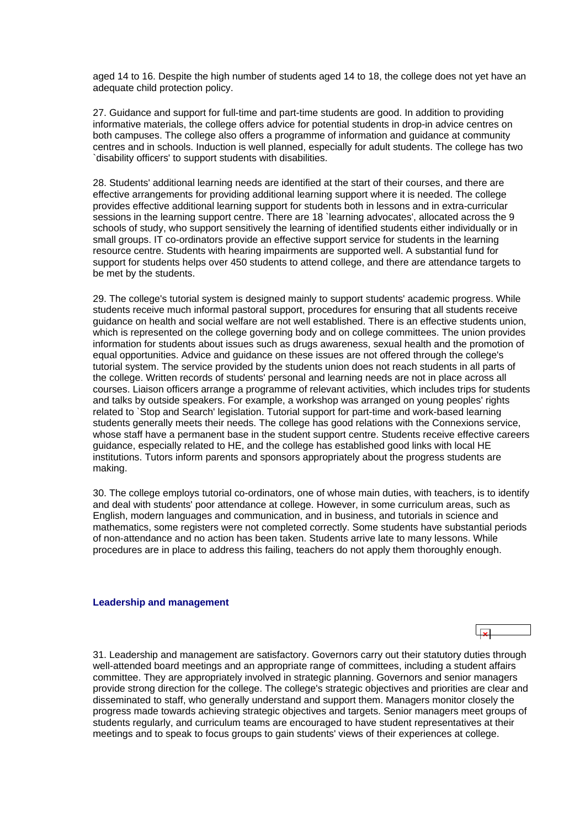<span id="page-14-0"></span>aged 14 to 16. Despite the high number of students aged 14 to 18, the college does not yet have an adequate child protection policy.

27. Guidance and support for full-time and part-time students are good. In addition to providing informative materials, the college offers advice for potential students in drop-in advice centres on both campuses. The college also offers a programme of information and guidance at community centres and in schools. Induction is well planned, especially for adult students. The college has two `disability officers' to support students with disabilities.

28. Students' additional learning needs are identified at the start of their courses, and there are effective arrangements for providing additional learning support where it is needed. The college provides effective additional learning support for students both in lessons and in extra-curricular sessions in the learning support centre. There are 18 `learning advocates', allocated across the 9 schools of study, who support sensitively the learning of identified students either individually or in small groups. IT co-ordinators provide an effective support service for students in the learning resource centre. Students with hearing impairments are supported well. A substantial fund for support for students helps over 450 students to attend college, and there are attendance targets to be met by the students.

29. The college's tutorial system is designed mainly to support students' academic progress. While students receive much informal pastoral support, procedures for ensuring that all students receive guidance on health and social welfare are not well established. There is an effective students union, which is represented on the college governing body and on college committees. The union provides information for students about issues such as drugs awareness, sexual health and the promotion of equal opportunities. Advice and guidance on these issues are not offered through the college's tutorial system. The service provided by the students union does not reach students in all parts of the college. Written records of students' personal and learning needs are not in place across all courses. Liaison officers arrange a programme of relevant activities, which includes trips for students and talks by outside speakers. For example, a workshop was arranged on young peoples' rights related to `Stop and Search' legislation. Tutorial support for part-time and work-based learning students generally meets their needs. The college has good relations with the Connexions service, whose staff have a permanent base in the student support centre. Students receive effective careers guidance, especially related to HE, and the college has established good links with local HE institutions. Tutors inform parents and sponsors appropriately about the progress students are making.

30. The college employs tutorial co-ordinators, one of whose main duties, with teachers, is to identify and deal with students' poor attendance at college. However, in some curriculum areas, such as English, modern languages and communication, and in business, and tutorials in science and mathematics, some registers were not completed correctly. Some students have substantial periods of non-attendance and no action has been taken. Students arrive late to many lessons. While procedures are in place to address this failing, teachers do not apply them thoroughly enough.

#### **Leadership and management**

31. Leadership and management are satisfactory. Governors carry out their statutory duties through well-attended board meetings and an appropriate range of committees, including a student affairs committee. They are appropriately involved in strategic planning. Governors and senior managers provide strong direction for the college. The college's strategic objectives and priorities are clear and disseminated to staff, who generally understand and support them. Managers monitor closely the progress made towards achieving strategic objectives and targets. Senior managers meet groups of students regularly, and curriculum teams are encouraged to have student representatives at their meetings and to speak to focus groups to gain students' views of their experiences at college.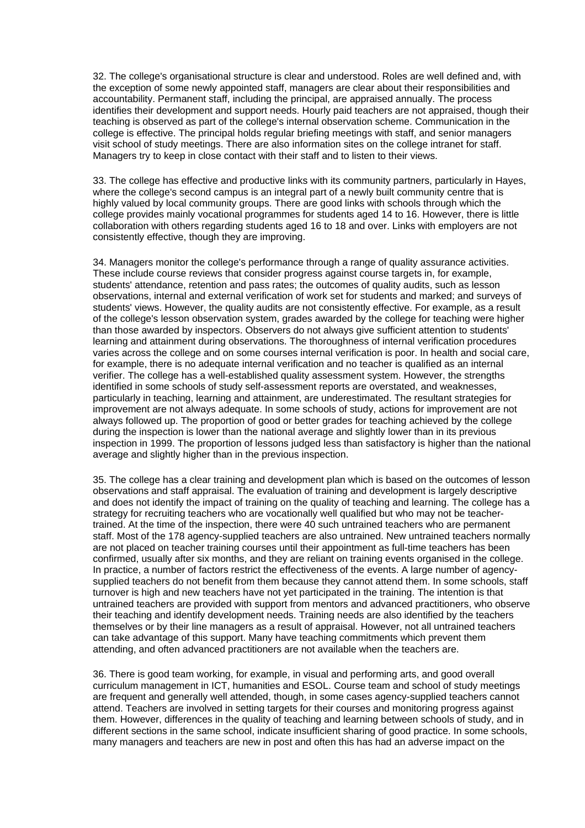32. The college's organisational structure is clear and understood. Roles are well defined and, with the exception of some newly appointed staff, managers are clear about their responsibilities and accountability. Permanent staff, including the principal, are appraised annually. The process identifies their development and support needs. Hourly paid teachers are not appraised, though their teaching is observed as part of the college's internal observation scheme. Communication in the college is effective. The principal holds regular briefing meetings with staff, and senior managers visit school of study meetings. There are also information sites on the college intranet for staff. Managers try to keep in close contact with their staff and to listen to their views.

33. The college has effective and productive links with its community partners, particularly in Hayes, where the college's second campus is an integral part of a newly built community centre that is highly valued by local community groups. There are good links with schools through which the college provides mainly vocational programmes for students aged 14 to 16. However, there is little collaboration with others regarding students aged 16 to 18 and over. Links with employers are not consistently effective, though they are improving.

34. Managers monitor the college's performance through a range of quality assurance activities. These include course reviews that consider progress against course targets in, for example, students' attendance, retention and pass rates; the outcomes of quality audits, such as lesson observations, internal and external verification of work set for students and marked; and surveys of students' views. However, the quality audits are not consistently effective. For example, as a result of the college's lesson observation system, grades awarded by the college for teaching were higher than those awarded by inspectors. Observers do not always give sufficient attention to students' learning and attainment during observations. The thoroughness of internal verification procedures varies across the college and on some courses internal verification is poor. In health and social care, for example, there is no adequate internal verification and no teacher is qualified as an internal verifier. The college has a well-established quality assessment system. However, the strengths identified in some schools of study self-assessment reports are overstated, and weaknesses, particularly in teaching, learning and attainment, are underestimated. The resultant strategies for improvement are not always adequate. In some schools of study, actions for improvement are not always followed up. The proportion of good or better grades for teaching achieved by the college during the inspection is lower than the national average and slightly lower than in its previous inspection in 1999. The proportion of lessons judged less than satisfactory is higher than the national average and slightly higher than in the previous inspection.

35. The college has a clear training and development plan which is based on the outcomes of lesson observations and staff appraisal. The evaluation of training and development is largely descriptive and does not identify the impact of training on the quality of teaching and learning. The college has a strategy for recruiting teachers who are vocationally well qualified but who may not be teachertrained. At the time of the inspection, there were 40 such untrained teachers who are permanent staff. Most of the 178 agency-supplied teachers are also untrained. New untrained teachers normally are not placed on teacher training courses until their appointment as full-time teachers has been confirmed, usually after six months, and they are reliant on training events organised in the college. In practice, a number of factors restrict the effectiveness of the events. A large number of agencysupplied teachers do not benefit from them because they cannot attend them. In some schools, staff turnover is high and new teachers have not yet participated in the training. The intention is that untrained teachers are provided with support from mentors and advanced practitioners, who observe their teaching and identify development needs. Training needs are also identified by the teachers themselves or by their line managers as a result of appraisal. However, not all untrained teachers can take advantage of this support. Many have teaching commitments which prevent them attending, and often advanced practitioners are not available when the teachers are.

36. There is good team working, for example, in visual and performing arts, and good overall curriculum management in ICT, humanities and ESOL. Course team and school of study meetings are frequent and generally well attended, though, in some cases agency-supplied teachers cannot attend. Teachers are involved in setting targets for their courses and monitoring progress against them. However, differences in the quality of teaching and learning between schools of study, and in different sections in the same school, indicate insufficient sharing of good practice. In some schools, many managers and teachers are new in post and often this has had an adverse impact on the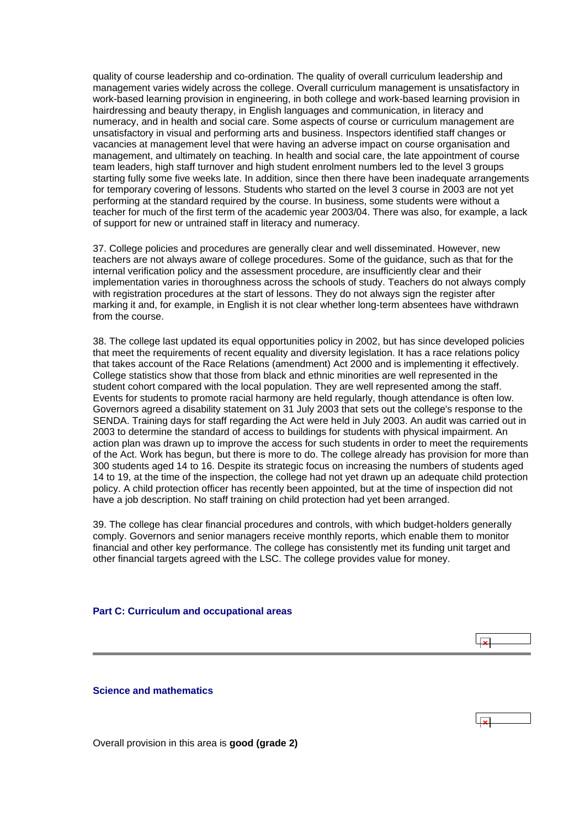<span id="page-16-0"></span>quality of course leadership and co-ordination. The quality of overall curriculum leadership and management varies widely across the college. Overall curriculum management is unsatisfactory in work-based learning provision in engineering, in both college and work-based learning provision in hairdressing and beauty therapy, in English languages and communication, in literacy and numeracy, and in health and social care. Some aspects of course or curriculum management are unsatisfactory in visual and performing arts and business. Inspectors identified staff changes or vacancies at management level that were having an adverse impact on course organisation and management, and ultimately on teaching. In health and social care, the late appointment of course team leaders, high staff turnover and high student enrolment numbers led to the level 3 groups starting fully some five weeks late. In addition, since then there have been inadequate arrangements for temporary covering of lessons. Students who started on the level 3 course in 2003 are not yet performing at the standard required by the course. In business, some students were without a teacher for much of the first term of the academic year 2003/04. There was also, for example, a lack of support for new or untrained staff in literacy and numeracy.

37. College policies and procedures are generally clear and well disseminated. However, new teachers are not always aware of college procedures. Some of the guidance, such as that for the internal verification policy and the assessment procedure, are insufficiently clear and their implementation varies in thoroughness across the schools of study. Teachers do not always comply with registration procedures at the start of lessons. They do not always sign the register after marking it and, for example, in English it is not clear whether long-term absentees have withdrawn from the course.

38. The college last updated its equal opportunities policy in 2002, but has since developed policies that meet the requirements of recent equality and diversity legislation. It has a race relations policy that takes account of the Race Relations (amendment) Act 2000 and is implementing it effectively. College statistics show that those from black and ethnic minorities are well represented in the student cohort compared with the local population. They are well represented among the staff. Events for students to promote racial harmony are held regularly, though attendance is often low. Governors agreed a disability statement on 31 July 2003 that sets out the college's response to the SENDA. Training days for staff regarding the Act were held in July 2003. An audit was carried out in 2003 to determine the standard of access to buildings for students with physical impairment. An action plan was drawn up to improve the access for such students in order to meet the requirements of the Act. Work has begun, but there is more to do. The college already has provision for more than 300 students aged 14 to 16. Despite its strategic focus on increasing the numbers of students aged 14 to 19, at the time of the inspection, the college had not yet drawn up an adequate child protection policy. A child protection officer has recently been appointed, but at the time of inspection did not have a job description. No staff training on child protection had yet been arranged.

39. The college has clear financial procedures and controls, with which budget-holders generally comply. Governors and senior managers receive monthly reports, which enable them to monitor financial and other key performance. The college has consistently met its funding unit target and other financial targets agreed with the LSC. The college provides value for money.

 $\overline{\mathbf{v}}$ 

#### **Part C: Curriculum and occupational areas**

**Science and mathematics**

Overall provision in this area is **good (grade 2)**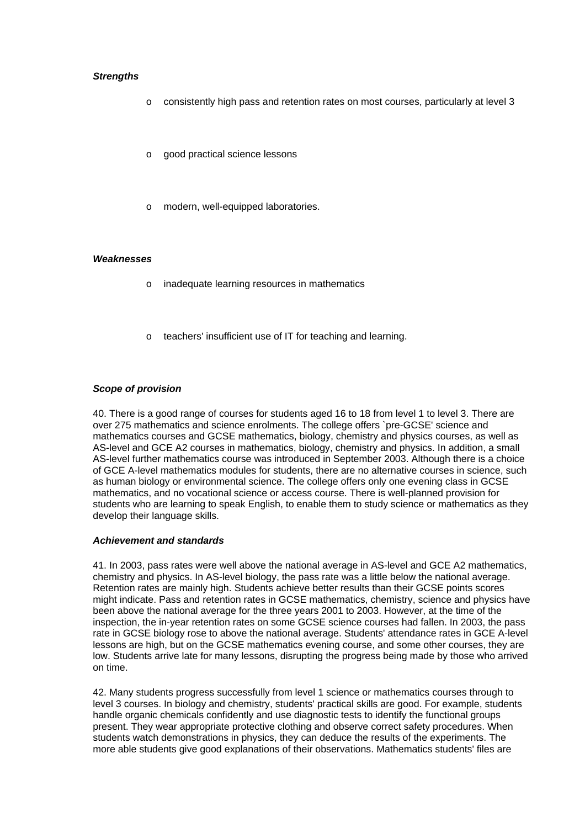## *Strengths*

- o consistently high pass and retention rates on most courses, particularly at level 3
- o good practical science lessons
- o modern, well-equipped laboratories.

#### *Weaknesses*

- o inadequate learning resources in mathematics
- o teachers' insufficient use of IT for teaching and learning.

## *Scope of provision*

40. There is a good range of courses for students aged 16 to 18 from level 1 to level 3. There are over 275 mathematics and science enrolments. The college offers `pre-GCSE' science and mathematics courses and GCSE mathematics, biology, chemistry and physics courses, as well as AS-level and GCE A2 courses in mathematics, biology, chemistry and physics. In addition, a small AS-level further mathematics course was introduced in September 2003. Although there is a choice of GCE A-level mathematics modules for students, there are no alternative courses in science, such as human biology or environmental science. The college offers only one evening class in GCSE mathematics, and no vocational science or access course. There is well-planned provision for students who are learning to speak English, to enable them to study science or mathematics as they develop their language skills.

#### *Achievement and standards*

41. In 2003, pass rates were well above the national average in AS-level and GCE A2 mathematics, chemistry and physics. In AS-level biology, the pass rate was a little below the national average. Retention rates are mainly high. Students achieve better results than their GCSE points scores might indicate. Pass and retention rates in GCSE mathematics, chemistry, science and physics have been above the national average for the three years 2001 to 2003. However, at the time of the inspection, the in-year retention rates on some GCSE science courses had fallen. In 2003, the pass rate in GCSE biology rose to above the national average. Students' attendance rates in GCE A-level lessons are high, but on the GCSE mathematics evening course, and some other courses, they are low. Students arrive late for many lessons, disrupting the progress being made by those who arrived on time.

42. Many students progress successfully from level 1 science or mathematics courses through to level 3 courses. In biology and chemistry, students' practical skills are good. For example, students handle organic chemicals confidently and use diagnostic tests to identify the functional groups present. They wear appropriate protective clothing and observe correct safety procedures. When students watch demonstrations in physics, they can deduce the results of the experiments. The more able students give good explanations of their observations. Mathematics students' files are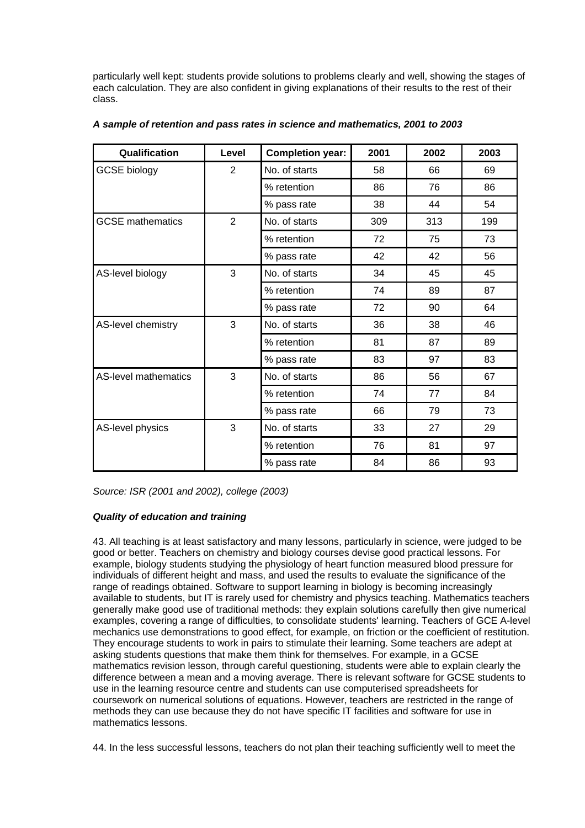particularly well kept: students provide solutions to problems clearly and well, showing the stages of each calculation. They are also confident in giving explanations of their results to the rest of their class.

| Qualification           | Level | <b>Completion year:</b> | 2001 | 2002 | 2003 |
|-------------------------|-------|-------------------------|------|------|------|
| <b>GCSE biology</b>     | 2     | No. of starts           | 58   | 66   | 69   |
|                         |       | % retention             | 86   | 76   | 86   |
|                         |       | % pass rate             | 38   | 44   | 54   |
| <b>GCSE</b> mathematics | 2     | No. of starts           | 309  | 313  | 199  |
|                         |       | % retention             | 72   | 75   | 73   |
|                         |       | % pass rate             | 42   | 42   | 56   |
| AS-level biology        | 3     | No. of starts           | 34   | 45   | 45   |
|                         |       | % retention             | 74   | 89   | 87   |
|                         |       | % pass rate             | 72   | 90   | 64   |
| AS-level chemistry      | 3     | No. of starts           | 36   | 38   | 46   |
|                         |       | % retention             | 81   | 87   | 89   |
|                         |       | % pass rate             | 83   | 97   | 83   |
| AS-level mathematics    | 3     | No. of starts           | 86   | 56   | 67   |
|                         |       | % retention             | 74   | 77   | 84   |
|                         |       | % pass rate             | 66   | 79   | 73   |
| AS-level physics        | 3     | No. of starts           | 33   | 27   | 29   |
|                         |       | % retention             | 76   | 81   | 97   |
|                         |       | % pass rate             | 84   | 86   | 93   |

## *A sample of retention and pass rates in science and mathematics, 2001 to 2003*

*Source: ISR (2001 and 2002), college (2003)*

## *Quality of education and training*

43. All teaching is at least satisfactory and many lessons, particularly in science, were judged to be good or better. Teachers on chemistry and biology courses devise good practical lessons. For example, biology students studying the physiology of heart function measured blood pressure for individuals of different height and mass, and used the results to evaluate the significance of the range of readings obtained. Software to support learning in biology is becoming increasingly available to students, but IT is rarely used for chemistry and physics teaching. Mathematics teachers generally make good use of traditional methods: they explain solutions carefully then give numerical examples, covering a range of difficulties, to consolidate students' learning. Teachers of GCE A-level mechanics use demonstrations to good effect, for example, on friction or the coefficient of restitution. They encourage students to work in pairs to stimulate their learning. Some teachers are adept at asking students questions that make them think for themselves. For example, in a GCSE mathematics revision lesson, through careful questioning, students were able to explain clearly the difference between a mean and a moving average. There is relevant software for GCSE students to use in the learning resource centre and students can use computerised spreadsheets for coursework on numerical solutions of equations. However, teachers are restricted in the range of methods they can use because they do not have specific IT facilities and software for use in mathematics lessons.

44. In the less successful lessons, teachers do not plan their teaching sufficiently well to meet the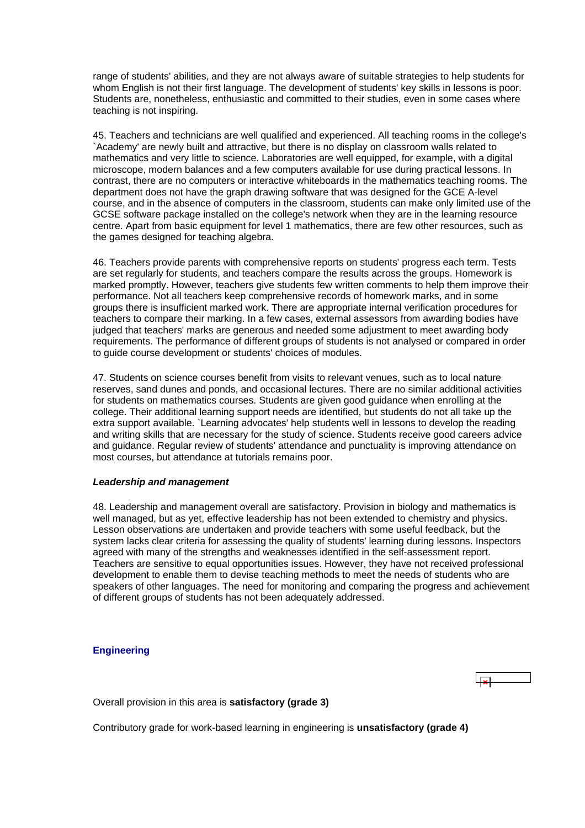<span id="page-19-0"></span>range of students' abilities, and they are not always aware of suitable strategies to help students for whom English is not their first language. The development of students' key skills in lessons is poor. Students are, nonetheless, enthusiastic and committed to their studies, even in some cases where teaching is not inspiring.

45. Teachers and technicians are well qualified and experienced. All teaching rooms in the college's `Academy' are newly built and attractive, but there is no display on classroom walls related to mathematics and very little to science. Laboratories are well equipped, for example, with a digital microscope, modern balances and a few computers available for use during practical lessons. In contrast, there are no computers or interactive whiteboards in the mathematics teaching rooms. The department does not have the graph drawing software that was designed for the GCE A-level course, and in the absence of computers in the classroom, students can make only limited use of the GCSE software package installed on the college's network when they are in the learning resource centre. Apart from basic equipment for level 1 mathematics, there are few other resources, such as the games designed for teaching algebra.

46. Teachers provide parents with comprehensive reports on students' progress each term. Tests are set regularly for students, and teachers compare the results across the groups. Homework is marked promptly. However, teachers give students few written comments to help them improve their performance. Not all teachers keep comprehensive records of homework marks, and in some groups there is insufficient marked work. There are appropriate internal verification procedures for teachers to compare their marking. In a few cases, external assessors from awarding bodies have judged that teachers' marks are generous and needed some adjustment to meet awarding body requirements. The performance of different groups of students is not analysed or compared in order to guide course development or students' choices of modules.

47. Students on science courses benefit from visits to relevant venues, such as to local nature reserves, sand dunes and ponds, and occasional lectures. There are no similar additional activities for students on mathematics courses. Students are given good guidance when enrolling at the college. Their additional learning support needs are identified, but students do not all take up the extra support available. `Learning advocates' help students well in lessons to develop the reading and writing skills that are necessary for the study of science. Students receive good careers advice and guidance. Regular review of students' attendance and punctuality is improving attendance on most courses, but attendance at tutorials remains poor.

#### *Leadership and management*

48. Leadership and management overall are satisfactory. Provision in biology and mathematics is well managed, but as yet, effective leadership has not been extended to chemistry and physics. Lesson observations are undertaken and provide teachers with some useful feedback, but the system lacks clear criteria for assessing the quality of students' learning during lessons. Inspectors agreed with many of the strengths and weaknesses identified in the self-assessment report. Teachers are sensitive to equal opportunities issues. However, they have not received professional development to enable them to devise teaching methods to meet the needs of students who are speakers of other languages. The need for monitoring and comparing the progress and achievement of different groups of students has not been adequately addressed.

## **Engineering**

Overall provision in this area is **satisfactory (grade 3)**

Contributory grade for work-based learning in engineering is **unsatisfactory (grade 4)**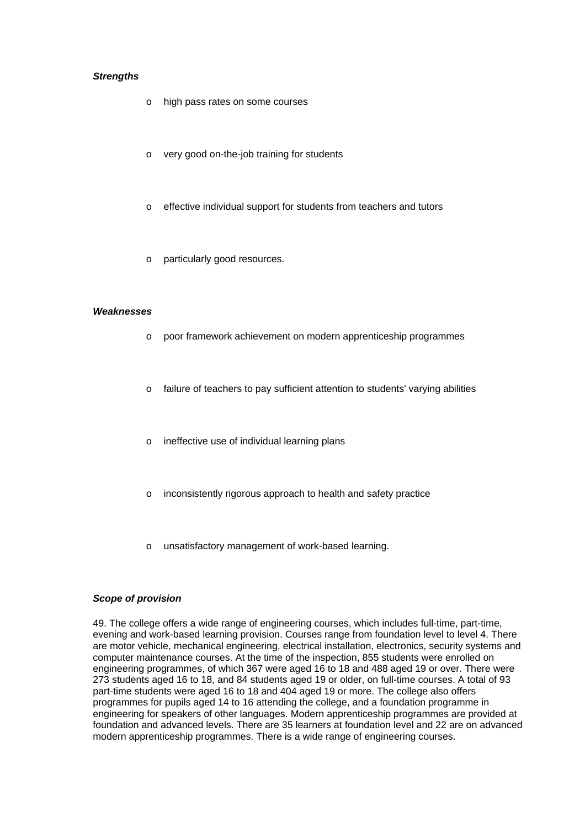## *Strengths*

- o high pass rates on some courses
- o very good on-the-job training for students
- o effective individual support for students from teachers and tutors
- o particularly good resources.

#### *Weaknesses*

- o poor framework achievement on modern apprenticeship programmes
- $\circ$  failure of teachers to pay sufficient attention to students' varying abilities
- o ineffective use of individual learning plans
- o inconsistently rigorous approach to health and safety practice
- o unsatisfactory management of work-based learning.

## *Scope of provision*

49. The college offers a wide range of engineering courses, which includes full-time, part-time, evening and work-based learning provision. Courses range from foundation level to level 4. There are motor vehicle, mechanical engineering, electrical installation, electronics, security systems and computer maintenance courses. At the time of the inspection, 855 students were enrolled on engineering programmes, of which 367 were aged 16 to 18 and 488 aged 19 or over. There were 273 students aged 16 to 18, and 84 students aged 19 or older, on full-time courses. A total of 93 part-time students were aged 16 to 18 and 404 aged 19 or more. The college also offers programmes for pupils aged 14 to 16 attending the college, and a foundation programme in engineering for speakers of other languages. Modern apprenticeship programmes are provided at foundation and advanced levels. There are 35 learners at foundation level and 22 are on advanced modern apprenticeship programmes. There is a wide range of engineering courses.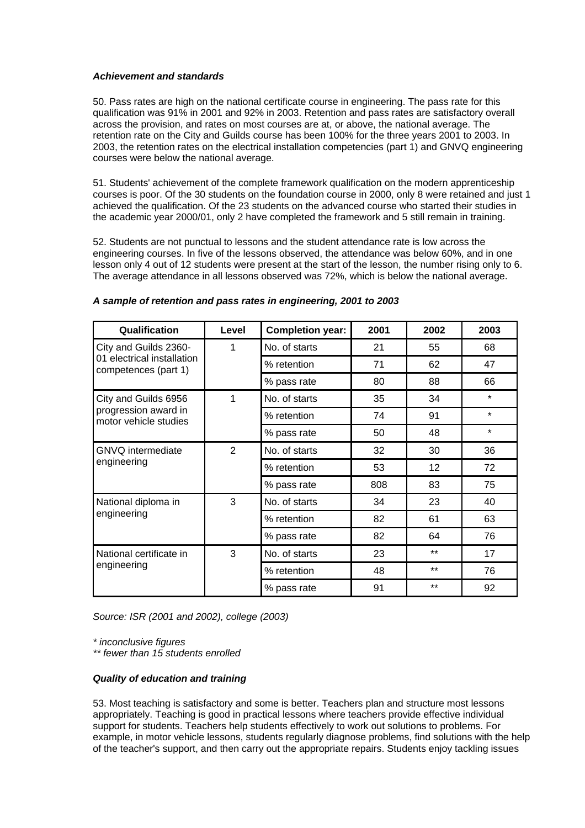## *Achievement and standards*

50. Pass rates are high on the national certificate course in engineering. The pass rate for this qualification was 91% in 2001 and 92% in 2003. Retention and pass rates are satisfactory overall across the provision, and rates on most courses are at, or above, the national average. The retention rate on the City and Guilds course has been 100% for the three years 2001 to 2003. In 2003, the retention rates on the electrical installation competencies (part 1) and GNVQ engineering courses were below the national average.

51. Students' achievement of the complete framework qualification on the modern apprenticeship courses is poor. Of the 30 students on the foundation course in 2000, only 8 were retained and just 1 achieved the qualification. Of the 23 students on the advanced course who started their studies in the academic year 2000/01, only 2 have completed the framework and 5 still remain in training.

52. Students are not punctual to lessons and the student attendance rate is low across the engineering courses. In five of the lessons observed, the attendance was below 60%, and in one lesson only 4 out of 12 students were present at the start of the lesson, the number rising only to 6. The average attendance in all lessons observed was 72%, which is below the national average.

| Qualification                                      | Level          | <b>Completion year:</b> | 2001 | 2002  | 2003    |
|----------------------------------------------------|----------------|-------------------------|------|-------|---------|
| City and Guilds 2360-                              | 1              | No. of starts           | 21   | 55    | 68      |
| 01 electrical installation<br>competences (part 1) |                | % retention             | 71   | 62    | 47      |
|                                                    |                | % pass rate             | 80   | 88    | 66      |
| City and Guilds 6956                               | 1              | No. of starts           | 35   | 34    | $\star$ |
| progression award in<br>motor vehicle studies      |                | % retention             | 74   | 91    | $\star$ |
|                                                    |                | % pass rate             | 50   | 48    | $\star$ |
| <b>GNVQ</b> intermediate                           | $\overline{2}$ | No. of starts           | 32   | 30    | 36      |
| engineering                                        |                | % retention             | 53   | 12    | 72      |
|                                                    |                | % pass rate             | 808  | 83    | 75      |
| National diploma in<br>engineering                 | 3              | No. of starts           | 34   | 23    | 40      |
|                                                    |                | % retention             | 82   | 61    | 63      |
|                                                    |                | % pass rate             | 82   | 64    | 76      |
| National certificate in<br>engineering             | 3              | No. of starts           | 23   | $***$ | 17      |
|                                                    |                | % retention             | 48   | $***$ | 76      |
|                                                    |                | % pass rate             | 91   | $***$ | 92      |

#### *A sample of retention and pass rates in engineering, 2001 to 2003*

*Source: ISR (2001 and 2002), college (2003)*

*\* inconclusive figures* 

*\*\* fewer than 15 students enrolled*

#### *Quality of education and training*

53. Most teaching is satisfactory and some is better. Teachers plan and structure most lessons appropriately. Teaching is good in practical lessons where teachers provide effective individual support for students. Teachers help students effectively to work out solutions to problems. For example, in motor vehicle lessons, students regularly diagnose problems, find solutions with the help of the teacher's support, and then carry out the appropriate repairs. Students enjoy tackling issues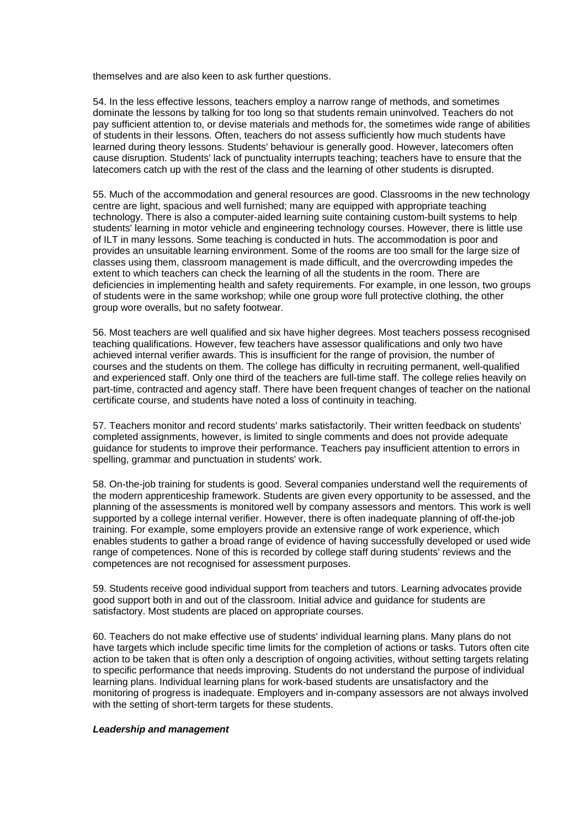themselves and are also keen to ask further questions.

54. In the less effective lessons, teachers employ a narrow range of methods, and sometimes dominate the lessons by talking for too long so that students remain uninvolved. Teachers do not pay sufficient attention to, or devise materials and methods for, the sometimes wide range of abilities of students in their lessons. Often, teachers do not assess sufficiently how much students have learned during theory lessons. Students' behaviour is generally good. However, latecomers often cause disruption. Students' lack of punctuality interrupts teaching; teachers have to ensure that the latecomers catch up with the rest of the class and the learning of other students is disrupted.

55. Much of the accommodation and general resources are good. Classrooms in the new technology centre are light, spacious and well furnished; many are equipped with appropriate teaching technology. There is also a computer-aided learning suite containing custom-built systems to help students' learning in motor vehicle and engineering technology courses. However, there is little use of ILT in many lessons. Some teaching is conducted in huts. The accommodation is poor and provides an unsuitable learning environment. Some of the rooms are too small for the large size of classes using them, classroom management is made difficult, and the overcrowding impedes the extent to which teachers can check the learning of all the students in the room. There are deficiencies in implementing health and safety requirements. For example, in one lesson, two groups of students were in the same workshop; while one group wore full protective clothing, the other group wore overalls, but no safety footwear.

56. Most teachers are well qualified and six have higher degrees. Most teachers possess recognised teaching qualifications. However, few teachers have assessor qualifications and only two have achieved internal verifier awards. This is insufficient for the range of provision, the number of courses and the students on them. The college has difficulty in recruiting permanent, well-qualified and experienced staff. Only one third of the teachers are full-time staff. The college relies heavily on part-time, contracted and agency staff. There have been frequent changes of teacher on the national certificate course, and students have noted a loss of continuity in teaching.

57. Teachers monitor and record students' marks satisfactorily. Their written feedback on students' completed assignments, however, is limited to single comments and does not provide adequate guidance for students to improve their performance. Teachers pay insufficient attention to errors in spelling, grammar and punctuation in students' work.

58. On-the-job training for students is good. Several companies understand well the requirements of the modern apprenticeship framework. Students are given every opportunity to be assessed, and the planning of the assessments is monitored well by company assessors and mentors. This work is well supported by a college internal verifier. However, there is often inadequate planning of off-the-job training. For example, some employers provide an extensive range of work experience, which enables students to gather a broad range of evidence of having successfully developed or used wide range of competences. None of this is recorded by college staff during students' reviews and the competences are not recognised for assessment purposes.

59. Students receive good individual support from teachers and tutors. Learning advocates provide good support both in and out of the classroom. Initial advice and guidance for students are satisfactory. Most students are placed on appropriate courses.

60. Teachers do not make effective use of students' individual learning plans. Many plans do not have targets which include specific time limits for the completion of actions or tasks. Tutors often cite action to be taken that is often only a description of ongoing activities, without setting targets relating to specific performance that needs improving. Students do not understand the purpose of individual learning plans. Individual learning plans for work-based students are unsatisfactory and the monitoring of progress is inadequate. Employers and in-company assessors are not always involved with the setting of short-term targets for these students.

#### *Leadership and management*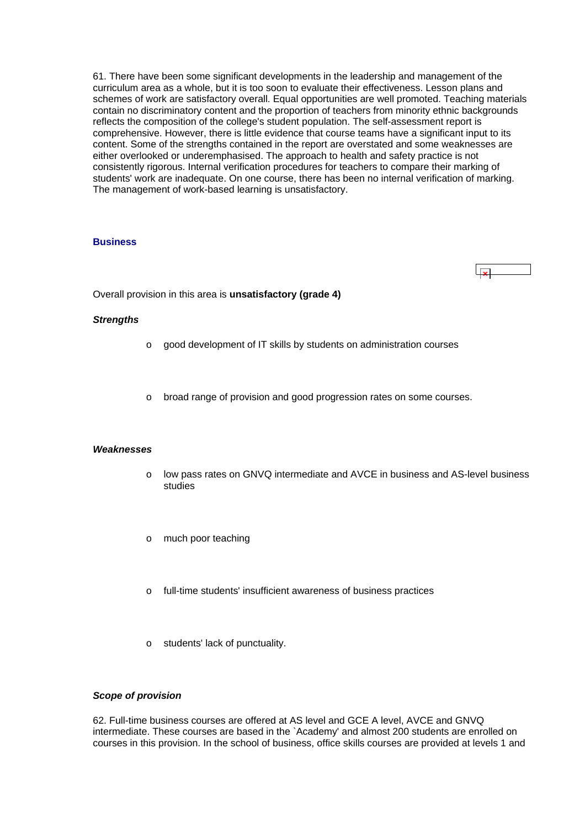<span id="page-23-0"></span>61. There have been some significant developments in the leadership and management of the curriculum area as a whole, but it is too soon to evaluate their effectiveness. Lesson plans and schemes of work are satisfactory overall. Equal opportunities are well promoted. Teaching materials contain no discriminatory content and the proportion of teachers from minority ethnic backgrounds reflects the composition of the college's student population. The self-assessment report is comprehensive. However, there is little evidence that course teams have a significant input to its content. Some of the strengths contained in the report are overstated and some weaknesses are either overlooked or underemphasised. The approach to health and safety practice is not consistently rigorous. Internal verification procedures for teachers to compare their marking of students' work are inadequate. On one course, there has been no internal verification of marking. The management of work-based learning is unsatisfactory.

## **Business**

Overall provision in this area is **unsatisfactory (grade 4)**

#### *Strengths*

- $\circ$  good development of IT skills by students on administration courses
- o broad range of provision and good progression rates on some courses.

#### *Weaknesses*

- o low pass rates on GNVQ intermediate and AVCE in business and AS-level business studies
- o much poor teaching
- o full-time students' insufficient awareness of business practices
- o students' lack of punctuality.

#### *Scope of provision*

62. Full-time business courses are offered at AS level and GCE A level, AVCE and GNVQ intermediate. These courses are based in the `Academy' and almost 200 students are enrolled on courses in this provision. In the school of business, office skills courses are provided at levels 1 and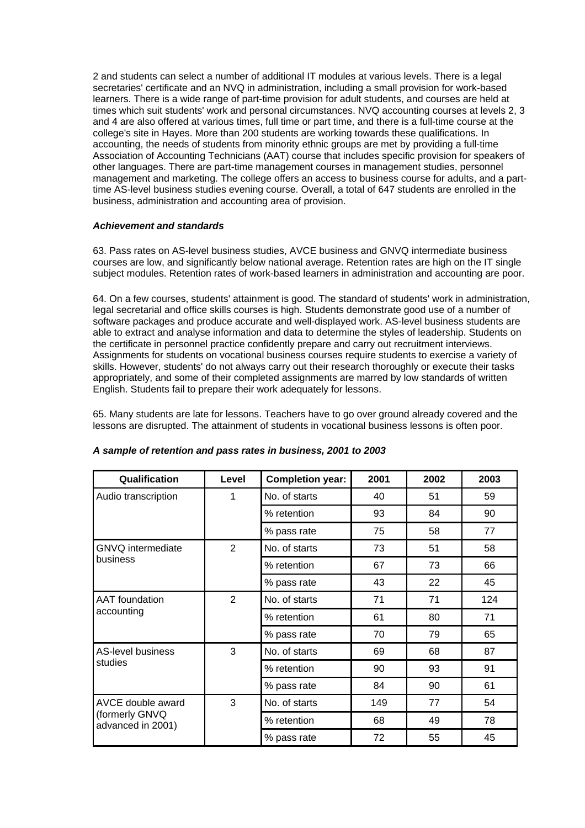2 and students can select a number of additional IT modules at various levels. There is a legal secretaries' certificate and an NVQ in administration, including a small provision for work-based learners. There is a wide range of part-time provision for adult students, and courses are held at times which suit students' work and personal circumstances. NVQ accounting courses at levels 2, 3 and 4 are also offered at various times, full time or part time, and there is a full-time course at the college's site in Hayes. More than 200 students are working towards these qualifications. In accounting, the needs of students from minority ethnic groups are met by providing a full-time Association of Accounting Technicians (AAT) course that includes specific provision for speakers of other languages. There are part-time management courses in management studies, personnel management and marketing. The college offers an access to business course for adults, and a parttime AS-level business studies evening course. Overall, a total of 647 students are enrolled in the business, administration and accounting area of provision.

## *Achievement and standards*

63. Pass rates on AS-level business studies, AVCE business and GNVQ intermediate business courses are low, and significantly below national average. Retention rates are high on the IT single subject modules. Retention rates of work-based learners in administration and accounting are poor.

64. On a few courses, students' attainment is good. The standard of students' work in administration, legal secretarial and office skills courses is high. Students demonstrate good use of a number of software packages and produce accurate and well-displayed work. AS-level business students are able to extract and analyse information and data to determine the styles of leadership. Students on the certificate in personnel practice confidently prepare and carry out recruitment interviews. Assignments for students on vocational business courses require students to exercise a variety of skills. However, students' do not always carry out their research thoroughly or execute their tasks appropriately, and some of their completed assignments are marred by low standards of written English. Students fail to prepare their work adequately for lessons.

65. Many students are late for lessons. Teachers have to go over ground already covered and the lessons are disrupted. The attainment of students in vocational business lessons is often poor.

| Qualification                                            | Level          | <b>Completion year:</b> | 2001 | 2002 | 2003 |
|----------------------------------------------------------|----------------|-------------------------|------|------|------|
| Audio transcription                                      | 1              | No. of starts           | 40   | 51   | 59   |
|                                                          |                | % retention             | 93   | 84   | 90   |
|                                                          |                | % pass rate             | 75   | 58   | 77   |
| <b>GNVQ</b> intermediate                                 | $\overline{2}$ | No. of starts           | 73   | 51   | 58   |
| business                                                 |                | % retention             | 67   | 73   | 66   |
|                                                          |                | % pass rate             | 43   | 22   | 45   |
| <b>AAT</b> foundation                                    | $\overline{2}$ | No. of starts           | 71   | 71   | 124  |
| accounting                                               |                | % retention             | 61   | 80   | 71   |
|                                                          |                | % pass rate             | 70   | 79   | 65   |
| <b>AS-level business</b>                                 | 3              | No. of starts           | 69   | 68   | 87   |
| studies                                                  |                | % retention             | 90   | 93   | 91   |
|                                                          |                | % pass rate             | 84   | 90   | 61   |
| AVCE double award<br>(formerly GNVQ<br>advanced in 2001) | 3              | No. of starts           | 149  | 77   | 54   |
|                                                          |                | % retention             | 68   | 49   | 78   |
|                                                          |                | % pass rate             | 72   | 55   | 45   |

#### *A sample of retention and pass rates in business, 2001 to 2003*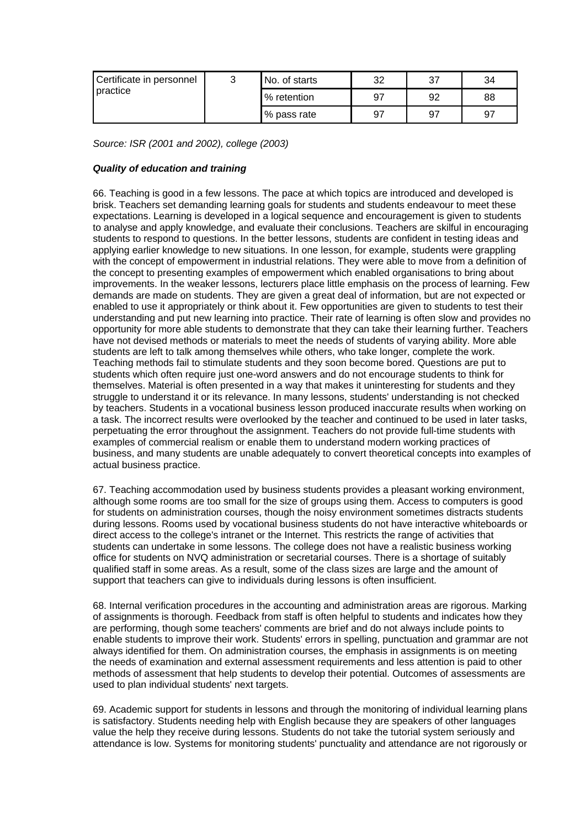| Certificate in personnel<br>practice | ⌒ | No. of starts | 32 | -37 | 34 |
|--------------------------------------|---|---------------|----|-----|----|
|                                      |   | % retention   | 97 | 92  | 88 |
|                                      |   | % pass rate   | 97 | -97 | 97 |

*Source: ISR (2001 and 2002), college (2003)*

## *Quality of education and training*

66. Teaching is good in a few lessons. The pace at which topics are introduced and developed is brisk. Teachers set demanding learning goals for students and students endeavour to meet these expectations. Learning is developed in a logical sequence and encouragement is given to students to analyse and apply knowledge, and evaluate their conclusions. Teachers are skilful in encouraging students to respond to questions. In the better lessons, students are confident in testing ideas and applying earlier knowledge to new situations. In one lesson, for example, students were grappling with the concept of empowerment in industrial relations. They were able to move from a definition of the concept to presenting examples of empowerment which enabled organisations to bring about improvements. In the weaker lessons, lecturers place little emphasis on the process of learning. Few demands are made on students. They are given a great deal of information, but are not expected or enabled to use it appropriately or think about it. Few opportunities are given to students to test their understanding and put new learning into practice. Their rate of learning is often slow and provides no opportunity for more able students to demonstrate that they can take their learning further. Teachers have not devised methods or materials to meet the needs of students of varying ability. More able students are left to talk among themselves while others, who take longer, complete the work. Teaching methods fail to stimulate students and they soon become bored. Questions are put to students which often require just one-word answers and do not encourage students to think for themselves. Material is often presented in a way that makes it uninteresting for students and they struggle to understand it or its relevance. In many lessons, students' understanding is not checked by teachers. Students in a vocational business lesson produced inaccurate results when working on a task. The incorrect results were overlooked by the teacher and continued to be used in later tasks, perpetuating the error throughout the assignment. Teachers do not provide full-time students with examples of commercial realism or enable them to understand modern working practices of business, and many students are unable adequately to convert theoretical concepts into examples of actual business practice.

67. Teaching accommodation used by business students provides a pleasant working environment, although some rooms are too small for the size of groups using them. Access to computers is good for students on administration courses, though the noisy environment sometimes distracts students during lessons. Rooms used by vocational business students do not have interactive whiteboards or direct access to the college's intranet or the Internet. This restricts the range of activities that students can undertake in some lessons. The college does not have a realistic business working office for students on NVQ administration or secretarial courses. There is a shortage of suitably qualified staff in some areas. As a result, some of the class sizes are large and the amount of support that teachers can give to individuals during lessons is often insufficient.

68. Internal verification procedures in the accounting and administration areas are rigorous. Marking of assignments is thorough. Feedback from staff is often helpful to students and indicates how they are performing, though some teachers' comments are brief and do not always include points to enable students to improve their work. Students' errors in spelling, punctuation and grammar are not always identified for them. On administration courses, the emphasis in assignments is on meeting the needs of examination and external assessment requirements and less attention is paid to other methods of assessment that help students to develop their potential. Outcomes of assessments are used to plan individual students' next targets.

69. Academic support for students in lessons and through the monitoring of individual learning plans is satisfactory. Students needing help with English because they are speakers of other languages value the help they receive during lessons. Students do not take the tutorial system seriously and attendance is low. Systems for monitoring students' punctuality and attendance are not rigorously or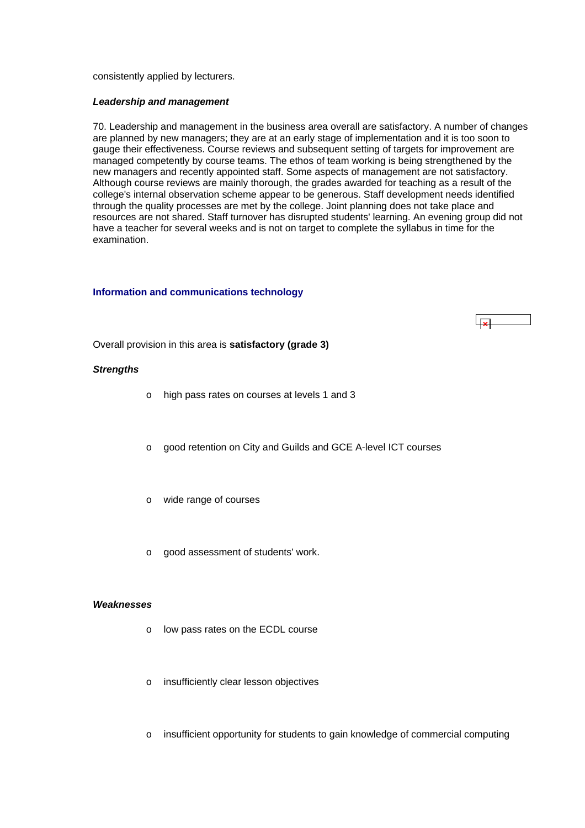<span id="page-26-0"></span>consistently applied by lecturers.

#### *Leadership and management*

70. Leadership and management in the business area overall are satisfactory. A number of changes are planned by new managers; they are at an early stage of implementation and it is too soon to gauge their effectiveness. Course reviews and subsequent setting of targets for improvement are managed competently by course teams. The ethos of team working is being strengthened by the new managers and recently appointed staff. Some aspects of management are not satisfactory. Although course reviews are mainly thorough, the grades awarded for teaching as a result of the college's internal observation scheme appear to be generous. Staff development needs identified through the quality processes are met by the college. Joint planning does not take place and resources are not shared. Staff turnover has disrupted students' learning. An evening group did not have a teacher for several weeks and is not on target to complete the syllabus in time for the examination.

#### **Information and communications technology**

ابوا

Overall provision in this area is **satisfactory (grade 3)**

#### *Strengths*

- o high pass rates on courses at levels 1 and 3
- o good retention on City and Guilds and GCE A-level ICT courses
- o wide range of courses
- o good assessment of students' work.

#### *Weaknesses*

- o low pass rates on the ECDL course
- o insufficiently clear lesson objectives
- o insufficient opportunity for students to gain knowledge of commercial computing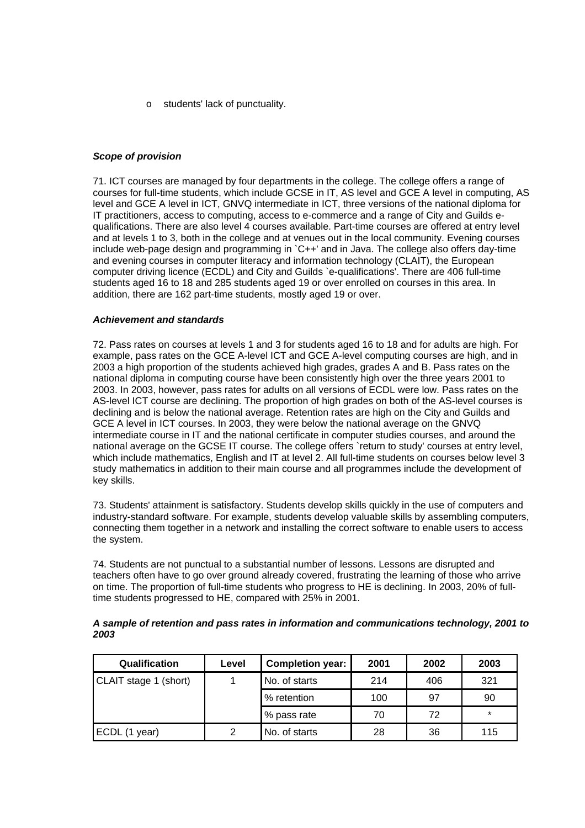o students' lack of punctuality.

## *Scope of provision*

71. ICT courses are managed by four departments in the college. The college offers a range of courses for full-time students, which include GCSE in IT, AS level and GCE A level in computing, AS level and GCE A level in ICT, GNVQ intermediate in ICT, three versions of the national diploma for IT practitioners, access to computing, access to e-commerce and a range of City and Guilds equalifications. There are also level 4 courses available. Part-time courses are offered at entry level and at levels 1 to 3, both in the college and at venues out in the local community. Evening courses include web-page design and programming in `C++' and in Java. The college also offers day-time and evening courses in computer literacy and information technology (CLAIT), the European computer driving licence (ECDL) and City and Guilds `e-qualifications'. There are 406 full-time students aged 16 to 18 and 285 students aged 19 or over enrolled on courses in this area. In addition, there are 162 part-time students, mostly aged 19 or over.

### *Achievement and standards*

72. Pass rates on courses at levels 1 and 3 for students aged 16 to 18 and for adults are high. For example, pass rates on the GCE A-level ICT and GCE A-level computing courses are high, and in 2003 a high proportion of the students achieved high grades, grades A and B. Pass rates on the national diploma in computing course have been consistently high over the three years 2001 to 2003. In 2003, however, pass rates for adults on all versions of ECDL were low. Pass rates on the AS-level ICT course are declining. The proportion of high grades on both of the AS-level courses is declining and is below the national average. Retention rates are high on the City and Guilds and GCE A level in ICT courses. In 2003, they were below the national average on the GNVQ intermediate course in IT and the national certificate in computer studies courses, and around the national average on the GCSE IT course. The college offers `return to study' courses at entry level, which include mathematics, English and IT at level 2. All full-time students on courses below level 3 study mathematics in addition to their main course and all programmes include the development of key skills.

73. Students' attainment is satisfactory. Students develop skills quickly in the use of computers and industry-standard software. For example, students develop valuable skills by assembling computers, connecting them together in a network and installing the correct software to enable users to access the system.

74. Students are not punctual to a substantial number of lessons. Lessons are disrupted and teachers often have to go over ground already covered, frustrating the learning of those who arrive on time. The proportion of full-time students who progress to HE is declining. In 2003, 20% of fulltime students progressed to HE, compared with 25% in 2001.

| Qualification         | Level | <b>Completion year:</b> | 2001 | 2002 | 2003    |
|-----------------------|-------|-------------------------|------|------|---------|
| CLAIT stage 1 (short) |       | No. of starts           | 214  | 406  | 321     |
|                       |       | % retention             | 100  | 97   | 90      |
|                       |       | % pass rate             | 70   | 72   | $\star$ |
| ECDL (1 year)         | 2     | No. of starts           | 28   | 36   | 115     |

*A sample of retention and pass rates in information and communications technology, 2001 to 2003*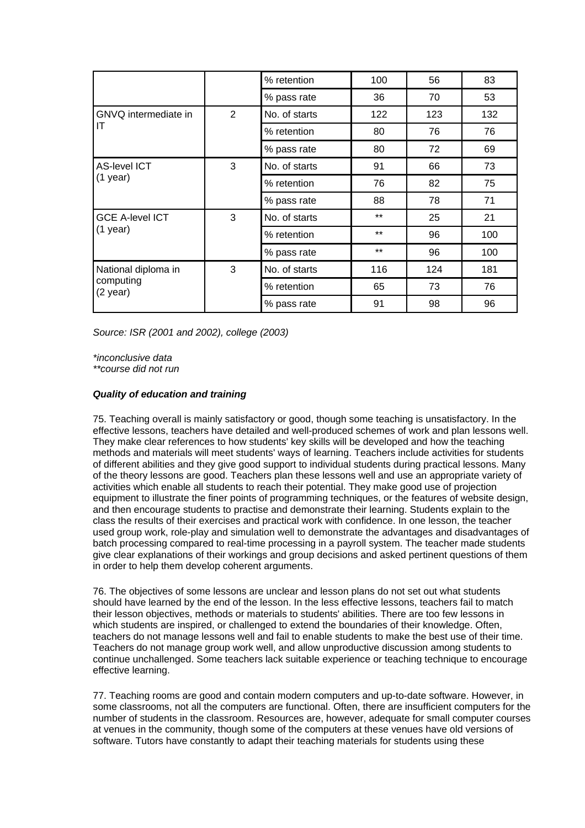|                                                |   | % retention   | 100   | 56  | 83  |
|------------------------------------------------|---|---------------|-------|-----|-----|
|                                                |   | % pass rate   | 36    | 70  | 53  |
| GNVQ intermediate in                           | 2 | No. of starts | 122   | 123 | 132 |
| IT                                             |   | % retention   | 80    | 76  | 76  |
|                                                |   | % pass rate   | 80    | 72  | 69  |
| <b>AS-level ICT</b>                            | 3 | No. of starts | 91    | 66  | 73  |
| $(1$ year)                                     |   | % retention   | 76    | 82  | 75  |
|                                                |   | % pass rate   | 88    | 78  | 71  |
| <b>GCE A-level ICT</b>                         | 3 | No. of starts | $***$ | 25  | 21  |
| $(1$ year)                                     |   | % retention   | $***$ | 96  | 100 |
|                                                |   | % pass rate   | $***$ | 96  | 100 |
| National diploma in<br>computing<br>$(2$ year) | 3 | No. of starts | 116   | 124 | 181 |
|                                                |   | % retention   | 65    | 73  | 76  |
|                                                |   | % pass rate   | 91    | 98  | 96  |

*Source: ISR (2001 and 2002), college (2003)*

*\*inconclusive data \*\*course did not run*

## *Quality of education and training*

75. Teaching overall is mainly satisfactory or good, though some teaching is unsatisfactory. In the effective lessons, teachers have detailed and well-produced schemes of work and plan lessons well. They make clear references to how students' key skills will be developed and how the teaching methods and materials will meet students' ways of learning. Teachers include activities for students of different abilities and they give good support to individual students during practical lessons. Many of the theory lessons are good. Teachers plan these lessons well and use an appropriate variety of activities which enable all students to reach their potential. They make good use of projection equipment to illustrate the finer points of programming techniques, or the features of website design, and then encourage students to practise and demonstrate their learning. Students explain to the class the results of their exercises and practical work with confidence. In one lesson, the teacher used group work, role-play and simulation well to demonstrate the advantages and disadvantages of batch processing compared to real-time processing in a payroll system. The teacher made students give clear explanations of their workings and group decisions and asked pertinent questions of them in order to help them develop coherent arguments.

76. The objectives of some lessons are unclear and lesson plans do not set out what students should have learned by the end of the lesson. In the less effective lessons, teachers fail to match their lesson objectives, methods or materials to students' abilities. There are too few lessons in which students are inspired, or challenged to extend the boundaries of their knowledge. Often, teachers do not manage lessons well and fail to enable students to make the best use of their time. Teachers do not manage group work well, and allow unproductive discussion among students to continue unchallenged. Some teachers lack suitable experience or teaching technique to encourage effective learning.

77. Teaching rooms are good and contain modern computers and up-to-date software. However, in some classrooms, not all the computers are functional. Often, there are insufficient computers for the number of students in the classroom. Resources are, however, adequate for small computer courses at venues in the community, though some of the computers at these venues have old versions of software. Tutors have constantly to adapt their teaching materials for students using these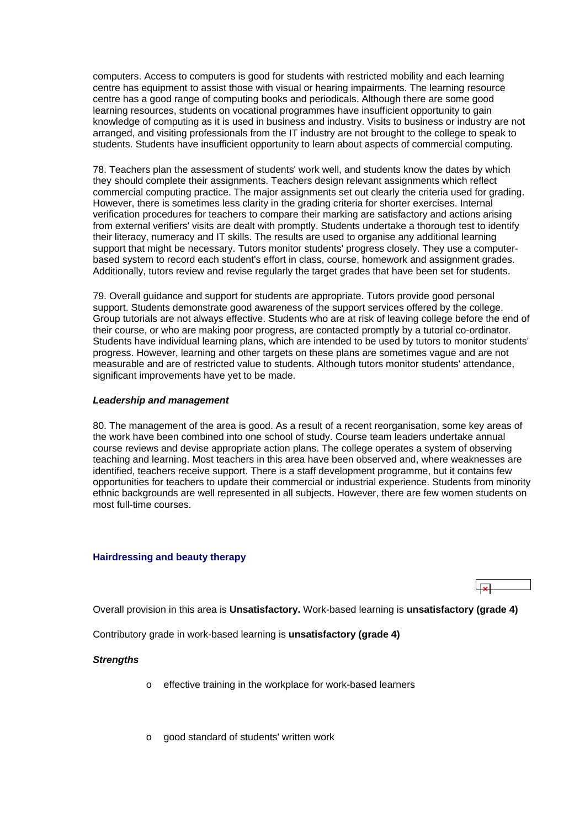<span id="page-29-0"></span>computers. Access to computers is good for students with restricted mobility and each learning centre has equipment to assist those with visual or hearing impairments. The learning resource centre has a good range of computing books and periodicals. Although there are some good learning resources, students on vocational programmes have insufficient opportunity to gain knowledge of computing as it is used in business and industry. Visits to business or industry are not arranged, and visiting professionals from the IT industry are not brought to the college to speak to students. Students have insufficient opportunity to learn about aspects of commercial computing.

78. Teachers plan the assessment of students' work well, and students know the dates by which they should complete their assignments. Teachers design relevant assignments which reflect commercial computing practice. The major assignments set out clearly the criteria used for grading. However, there is sometimes less clarity in the grading criteria for shorter exercises. Internal verification procedures for teachers to compare their marking are satisfactory and actions arising from external verifiers' visits are dealt with promptly. Students undertake a thorough test to identify their literacy, numeracy and IT skills. The results are used to organise any additional learning support that might be necessary. Tutors monitor students' progress closely. They use a computerbased system to record each student's effort in class, course, homework and assignment grades. Additionally, tutors review and revise regularly the target grades that have been set for students.

79. Overall guidance and support for students are appropriate. Tutors provide good personal support. Students demonstrate good awareness of the support services offered by the college. Group tutorials are not always effective. Students who are at risk of leaving college before the end of their course, or who are making poor progress, are contacted promptly by a tutorial co-ordinator. Students have individual learning plans, which are intended to be used by tutors to monitor students' progress. However, learning and other targets on these plans are sometimes vague and are not measurable and are of restricted value to students. Although tutors monitor students' attendance, significant improvements have yet to be made.

#### *Leadership and management*

80. The management of the area is good. As a result of a recent reorganisation, some key areas of the work have been combined into one school of study. Course team leaders undertake annual course reviews and devise appropriate action plans. The college operates a system of observing teaching and learning. Most teachers in this area have been observed and, where weaknesses are identified, teachers receive support. There is a staff development programme, but it contains few opportunities for teachers to update their commercial or industrial experience. Students from minority ethnic backgrounds are well represented in all subjects. However, there are few women students on most full-time courses.

#### **Hairdressing and beauty therapy**

Overall provision in this area is **Unsatisfactory.** Work-based learning is **unsatisfactory (grade 4)**

Contributory grade in work-based learning is **unsatisfactory (grade 4)**

#### *Strengths*

- o effective training in the workplace for work-based learners
- o good standard of students' written work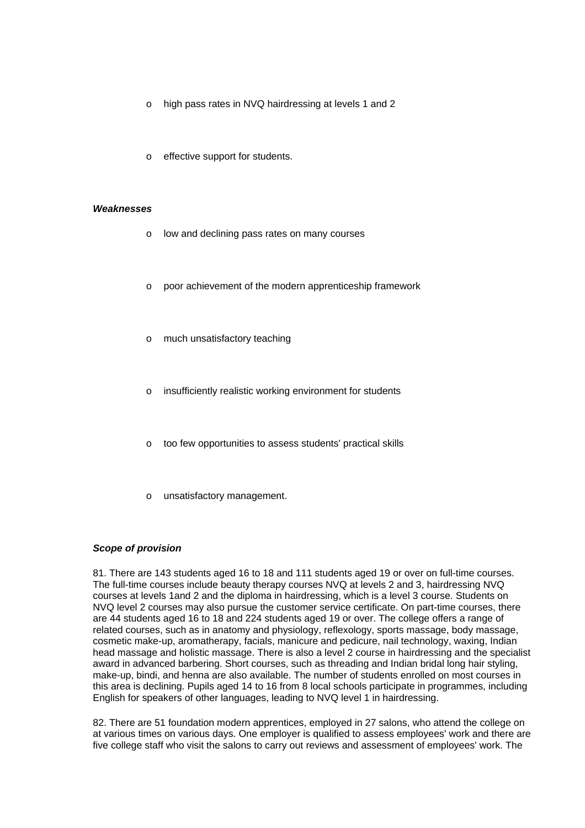- o high pass rates in NVQ hairdressing at levels 1 and 2
- o effective support for students.

#### *Weaknesses*

- o low and declining pass rates on many courses
- o poor achievement of the modern apprenticeship framework
- o much unsatisfactory teaching
- insufficiently realistic working environment for students
- too few opportunities to assess students' practical skills
- unsatisfactory management.

#### *Scope of provision*

81. There are 143 students aged 16 to 18 and 111 students aged 19 or over on full-time courses. The full-time courses include beauty therapy courses NVQ at levels 2 and 3, hairdressing NVQ courses at levels 1and 2 and the diploma in hairdressing, which is a level 3 course. Students on NVQ level 2 courses may also pursue the customer service certificate. On part-time courses, there are 44 students aged 16 to 18 and 224 students aged 19 or over. The college offers a range of related courses, such as in anatomy and physiology, reflexology, sports massage, body massage, cosmetic make-up, aromatherapy, facials, manicure and pedicure, nail technology, waxing, Indian head massage and holistic massage. There is also a level 2 course in hairdressing and the specialist award in advanced barbering. Short courses, such as threading and Indian bridal long hair styling, make-up, bindi, and henna are also available. The number of students enrolled on most courses in this area is declining. Pupils aged 14 to 16 from 8 local schools participate in programmes, including English for speakers of other languages, leading to NVQ level 1 in hairdressing.

82. There are 51 foundation modern apprentices, employed in 27 salons, who attend the college on at various times on various days. One employer is qualified to assess employees' work and there are five college staff who visit the salons to carry out reviews and assessment of employees' work. The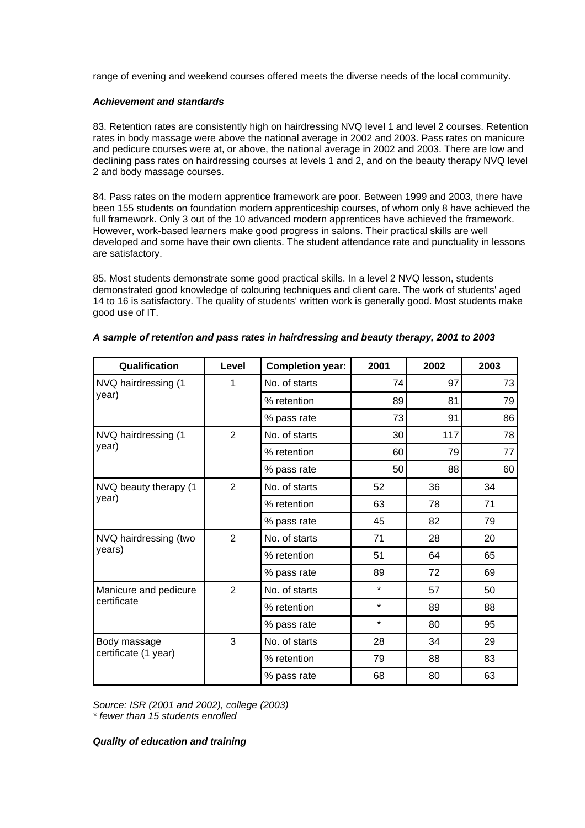range of evening and weekend courses offered meets the diverse needs of the local community.

## *Achievement and standards*

83. Retention rates are consistently high on hairdressing NVQ level 1 and level 2 courses. Retention rates in body massage were above the national average in 2002 and 2003. Pass rates on manicure and pedicure courses were at, or above, the national average in 2002 and 2003. There are low and declining pass rates on hairdressing courses at levels 1 and 2, and on the beauty therapy NVQ level 2 and body massage courses.

84. Pass rates on the modern apprentice framework are poor. Between 1999 and 2003, there have been 155 students on foundation modern apprenticeship courses, of whom only 8 have achieved the full framework. Only 3 out of the 10 advanced modern apprentices have achieved the framework. However, work-based learners make good progress in salons. Their practical skills are well developed and some have their own clients. The student attendance rate and punctuality in lessons are satisfactory.

85. Most students demonstrate some good practical skills. In a level 2 NVQ lesson, students demonstrated good knowledge of colouring techniques and client care. The work of students' aged 14 to 16 is satisfactory. The quality of students' written work is generally good. Most students make good use of IT.

| Qualification         | Level          | <b>Completion year:</b> | 2001    | 2002 | 2003 |
|-----------------------|----------------|-------------------------|---------|------|------|
| NVQ hairdressing (1   | 1              | No. of starts           | 74      | 97   | 73   |
| year)                 |                | % retention             | 89      | 81   | 79   |
|                       |                | % pass rate             | 73      | 91   | 86   |
| NVQ hairdressing (1   | $\overline{2}$ | No. of starts           | 30      | 117  | 78   |
| year)                 |                | % retention             | 60      | 79   | 77   |
|                       |                | % pass rate             | 50      | 88   | 60   |
| NVQ beauty therapy (1 | $\overline{2}$ | No. of starts           | 52      | 36   | 34   |
| year)                 |                | % retention             | 63      | 78   | 71   |
|                       |                | % pass rate             | 45      | 82   | 79   |
| NVQ hairdressing (two | $\overline{2}$ | No. of starts           | 71      | 28   | 20   |
| years)                |                | % retention             | 51      | 64   | 65   |
|                       |                | % pass rate             | 89      | 72   | 69   |
| Manicure and pedicure | $\overline{2}$ | No. of starts           | $\star$ | 57   | 50   |
| certificate           |                | % retention             | $\star$ | 89   | 88   |
|                       |                | % pass rate             | $\star$ | 80   | 95   |
| Body massage          | 3              | No. of starts           | 28      | 34   | 29   |
| certificate (1 year)  |                | % retention             | 79      | 88   | 83   |
|                       |                | % pass rate             | 68      | 80   | 63   |

|  |  | A sample of retention and pass rates in hairdressing and beauty therapy, 2001 to 2003 |
|--|--|---------------------------------------------------------------------------------------|
|--|--|---------------------------------------------------------------------------------------|

*Source: ISR (2001 and 2002), college (2003) \* fewer than 15 students enrolled*

#### *Quality of education and training*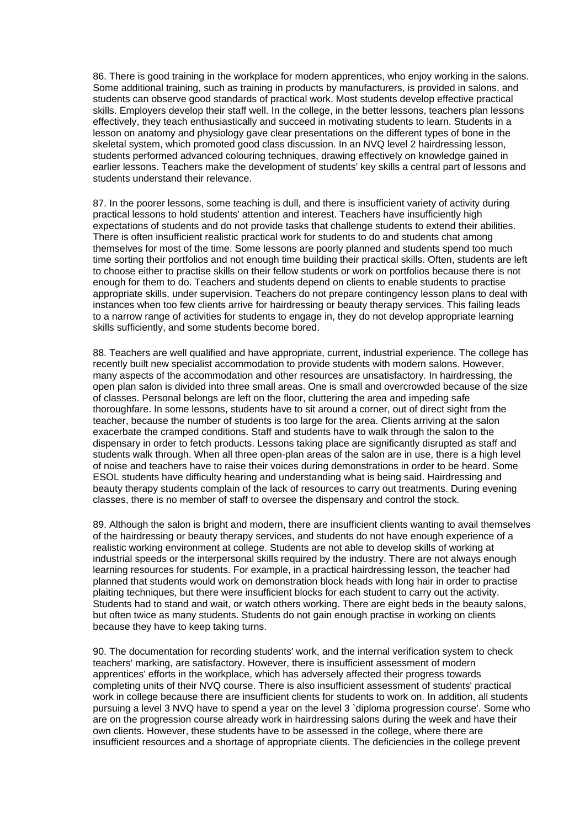86. There is good training in the workplace for modern apprentices, who enjoy working in the salons. Some additional training, such as training in products by manufacturers, is provided in salons, and students can observe good standards of practical work. Most students develop effective practical skills. Employers develop their staff well. In the college, in the better lessons, teachers plan lessons effectively, they teach enthusiastically and succeed in motivating students to learn. Students in a lesson on anatomy and physiology gave clear presentations on the different types of bone in the skeletal system, which promoted good class discussion. In an NVQ level 2 hairdressing lesson, students performed advanced colouring techniques, drawing effectively on knowledge gained in earlier lessons. Teachers make the development of students' key skills a central part of lessons and students understand their relevance.

87. In the poorer lessons, some teaching is dull, and there is insufficient variety of activity during practical lessons to hold students' attention and interest. Teachers have insufficiently high expectations of students and do not provide tasks that challenge students to extend their abilities. There is often insufficient realistic practical work for students to do and students chat among themselves for most of the time. Some lessons are poorly planned and students spend too much time sorting their portfolios and not enough time building their practical skills. Often, students are left to choose either to practise skills on their fellow students or work on portfolios because there is not enough for them to do. Teachers and students depend on clients to enable students to practise appropriate skills, under supervision. Teachers do not prepare contingency lesson plans to deal with instances when too few clients arrive for hairdressing or beauty therapy services. This failing leads to a narrow range of activities for students to engage in, they do not develop appropriate learning skills sufficiently, and some students become bored.

88. Teachers are well qualified and have appropriate, current, industrial experience. The college has recently built new specialist accommodation to provide students with modern salons. However, many aspects of the accommodation and other resources are unsatisfactory. In hairdressing, the open plan salon is divided into three small areas. One is small and overcrowded because of the size of classes. Personal belongs are left on the floor, cluttering the area and impeding safe thoroughfare. In some lessons, students have to sit around a corner, out of direct sight from the teacher, because the number of students is too large for the area. Clients arriving at the salon exacerbate the cramped conditions. Staff and students have to walk through the salon to the dispensary in order to fetch products. Lessons taking place are significantly disrupted as staff and students walk through. When all three open-plan areas of the salon are in use, there is a high level of noise and teachers have to raise their voices during demonstrations in order to be heard. Some ESOL students have difficulty hearing and understanding what is being said. Hairdressing and beauty therapy students complain of the lack of resources to carry out treatments. During evening classes, there is no member of staff to oversee the dispensary and control the stock.

89. Although the salon is bright and modern, there are insufficient clients wanting to avail themselves of the hairdressing or beauty therapy services, and students do not have enough experience of a realistic working environment at college. Students are not able to develop skills of working at industrial speeds or the interpersonal skills required by the industry. There are not always enough learning resources for students. For example, in a practical hairdressing lesson, the teacher had planned that students would work on demonstration block heads with long hair in order to practise plaiting techniques, but there were insufficient blocks for each student to carry out the activity. Students had to stand and wait, or watch others working. There are eight beds in the beauty salons, but often twice as many students. Students do not gain enough practise in working on clients because they have to keep taking turns.

90. The documentation for recording students' work, and the internal verification system to check teachers' marking, are satisfactory. However, there is insufficient assessment of modern apprentices' efforts in the workplace, which has adversely affected their progress towards completing units of their NVQ course. There is also insufficient assessment of students' practical work in college because there are insufficient clients for students to work on. In addition, all students pursuing a level 3 NVQ have to spend a year on the level 3 `diploma progression course'. Some who are on the progression course already work in hairdressing salons during the week and have their own clients. However, these students have to be assessed in the college, where there are insufficient resources and a shortage of appropriate clients. The deficiencies in the college prevent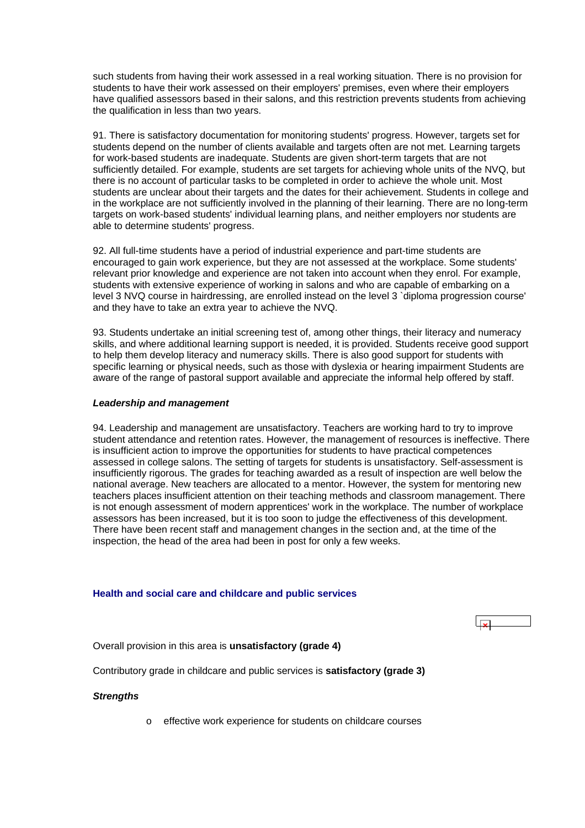<span id="page-33-0"></span>such students from having their work assessed in a real working situation. There is no provision for students to have their work assessed on their employers' premises, even where their employers have qualified assessors based in their salons, and this restriction prevents students from achieving the qualification in less than two years.

91. There is satisfactory documentation for monitoring students' progress. However, targets set for students depend on the number of clients available and targets often are not met. Learning targets for work-based students are inadequate. Students are given short-term targets that are not sufficiently detailed. For example, students are set targets for achieving whole units of the NVQ, but there is no account of particular tasks to be completed in order to achieve the whole unit. Most students are unclear about their targets and the dates for their achievement. Students in college and in the workplace are not sufficiently involved in the planning of their learning. There are no long-term targets on work-based students' individual learning plans, and neither employers nor students are able to determine students' progress.

92. All full-time students have a period of industrial experience and part-time students are encouraged to gain work experience, but they are not assessed at the workplace. Some students' relevant prior knowledge and experience are not taken into account when they enrol. For example, students with extensive experience of working in salons and who are capable of embarking on a level 3 NVQ course in hairdressing, are enrolled instead on the level 3 `diploma progression course' and they have to take an extra year to achieve the NVQ.

93. Students undertake an initial screening test of, among other things, their literacy and numeracy skills, and where additional learning support is needed, it is provided. Students receive good support to help them develop literacy and numeracy skills. There is also good support for students with specific learning or physical needs, such as those with dyslexia or hearing impairment Students are aware of the range of pastoral support available and appreciate the informal help offered by staff.

#### *Leadership and management*

94. Leadership and management are unsatisfactory. Teachers are working hard to try to improve student attendance and retention rates. However, the management of resources is ineffective. There is insufficient action to improve the opportunities for students to have practical competences assessed in college salons. The setting of targets for students is unsatisfactory. Self-assessment is insufficiently rigorous. The grades for teaching awarded as a result of inspection are well below the national average. New teachers are allocated to a mentor. However, the system for mentoring new teachers places insufficient attention on their teaching methods and classroom management. There is not enough assessment of modern apprentices' work in the workplace. The number of workplace assessors has been increased, but it is too soon to judge the effectiveness of this development. There have been recent staff and management changes in the section and, at the time of the inspection, the head of the area had been in post for only a few weeks.

#### **Health and social care and childcare and public services**



Overall provision in this area is **unsatisfactory (grade 4)**

Contributory grade in childcare and public services is **satisfactory (grade 3)**

#### *Strengths*

o effective work experience for students on childcare courses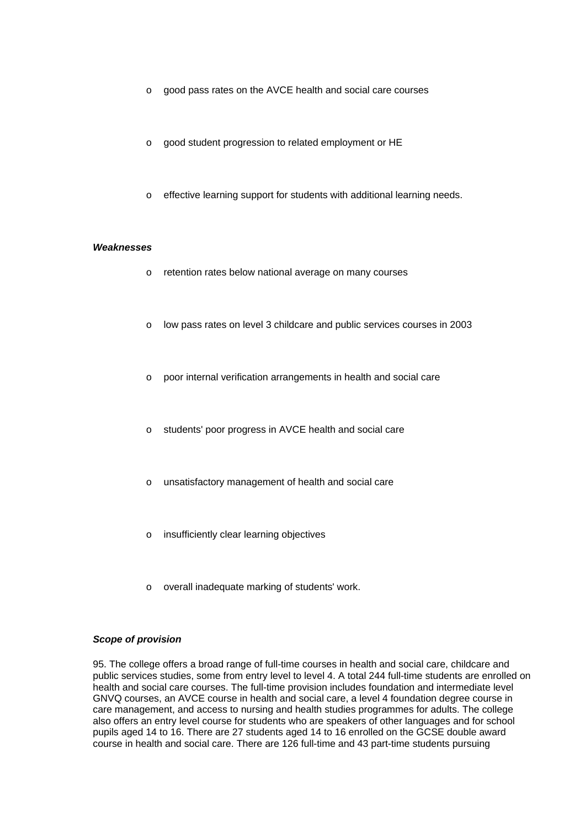- o good pass rates on the AVCE health and social care courses
- o good student progression to related employment or HE
- o effective learning support for students with additional learning needs.

#### *Weaknesses*

- o retention rates below national average on many courses
- o low pass rates on level 3 childcare and public services courses in 2003
- o poor internal verification arrangements in health and social care
- o students' poor progress in AVCE health and social care
- o unsatisfactory management of health and social care
- o insufficiently clear learning objectives
- o overall inadequate marking of students' work.

#### *Scope of provision*

95. The college offers a broad range of full-time courses in health and social care, childcare and public services studies, some from entry level to level 4. A total 244 full-time students are enrolled on health and social care courses. The full-time provision includes foundation and intermediate level GNVQ courses, an AVCE course in health and social care, a level 4 foundation degree course in care management, and access to nursing and health studies programmes for adults. The college also offers an entry level course for students who are speakers of other languages and for school pupils aged 14 to 16. There are 27 students aged 14 to 16 enrolled on the GCSE double award course in health and social care. There are 126 full-time and 43 part-time students pursuing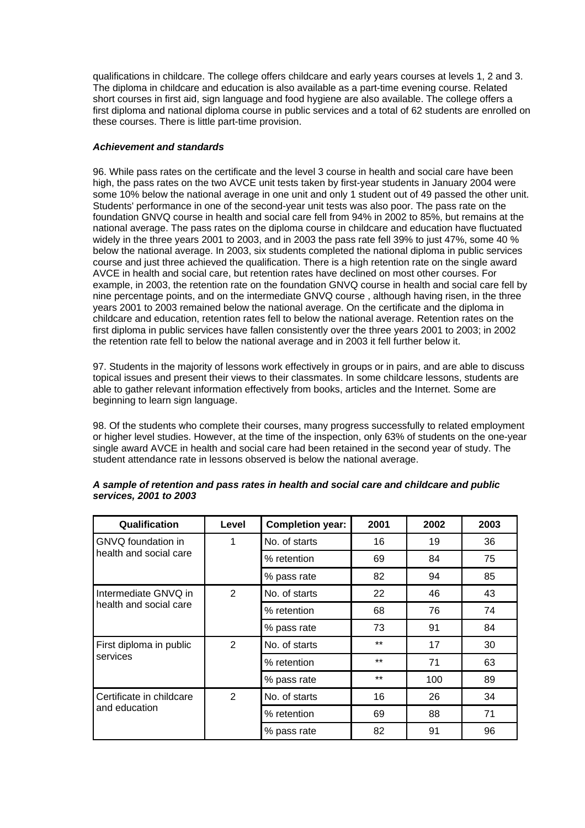qualifications in childcare. The college offers childcare and early years courses at levels 1, 2 and 3. The diploma in childcare and education is also available as a part-time evening course. Related short courses in first aid, sign language and food hygiene are also available. The college offers a first diploma and national diploma course in public services and a total of 62 students are enrolled on these courses. There is little part-time provision.

### *Achievement and standards*

96. While pass rates on the certificate and the level 3 course in health and social care have been high, the pass rates on the two AVCE unit tests taken by first-year students in January 2004 were some 10% below the national average in one unit and only 1 student out of 49 passed the other unit. Students' performance in one of the second-year unit tests was also poor. The pass rate on the foundation GNVQ course in health and social care fell from 94% in 2002 to 85%, but remains at the national average. The pass rates on the diploma course in childcare and education have fluctuated widely in the three years 2001 to 2003, and in 2003 the pass rate fell 39% to just 47%, some 40 % below the national average. In 2003, six students completed the national diploma in public services course and just three achieved the qualification. There is a high retention rate on the single award AVCE in health and social care, but retention rates have declined on most other courses. For example, in 2003, the retention rate on the foundation GNVQ course in health and social care fell by nine percentage points, and on the intermediate GNVQ course, although having risen, in the three years 2001 to 2003 remained below the national average. On the certificate and the diploma in childcare and education, retention rates fell to below the national average. Retention rates on the first diploma in public services have fallen consistently over the three years 2001 to 2003; in 2002 the retention rate fell to below the national average and in 2003 it fell further below it.

97. Students in the majority of lessons work effectively in groups or in pairs, and are able to discuss topical issues and present their views to their classmates. In some childcare lessons, students are able to gather relevant information effectively from books, articles and the Internet. Some are beginning to learn sign language.

98. Of the students who complete their courses, many progress successfully to related employment or higher level studies. However, at the time of the inspection, only 63% of students on the one-year single award AVCE in health and social care had been retained in the second year of study. The student attendance rate in lessons observed is below the national average.

| Qualification            | Level          | <b>Completion year:</b> | 2001  | 2002 | 2003 |
|--------------------------|----------------|-------------------------|-------|------|------|
| GNVQ foundation in       | 1              | No. of starts           | 16    | 19   | 36   |
| health and social care   |                | % retention             | 69    | 84   | 75   |
|                          |                | % pass rate             | 82    | 94   | 85   |
| Intermediate GNVQ in     | 2              | No. of starts           | 22    | 46   | 43   |
| health and social care   |                | % retention             | 68    | 76   | 74   |
|                          |                | % pass rate             | 73    | 91   | 84   |
| First diploma in public  | $\overline{2}$ | No. of starts           | $***$ | 17   | 30   |
| services                 |                | % retention             | $***$ | 71   | 63   |
|                          |                | % pass rate             | $***$ | 100  | 89   |
| Certificate in childcare | 2              | No. of starts           | 16    | 26   | 34   |
| and education            |                | % retention             | 69    | 88   | 71   |
|                          |                | % pass rate             | 82    | 91   | 96   |

| A sample of retention and pass rates in health and social care and childcare and public |  |  |
|-----------------------------------------------------------------------------------------|--|--|
| services, 2001 to 2003                                                                  |  |  |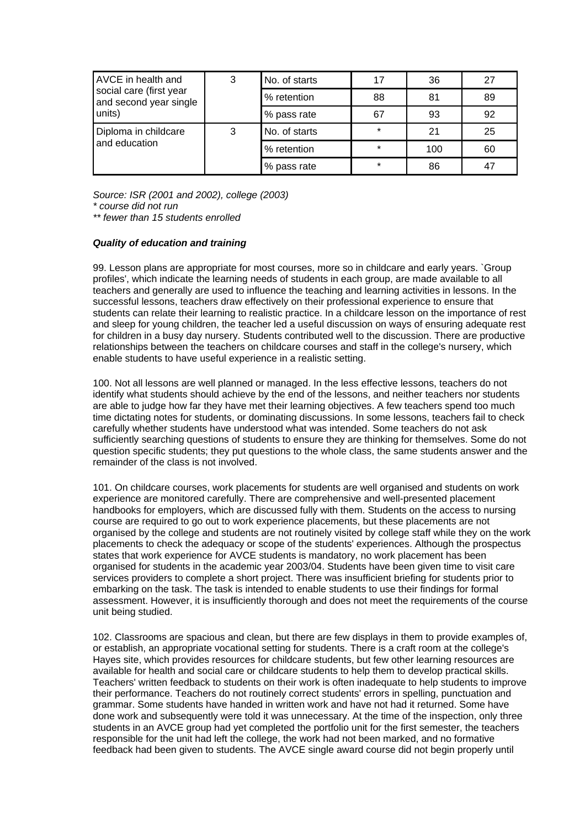| <b>AVCE</b> in health and                         | 3 | No. of starts | 17      | 36  | 27 |
|---------------------------------------------------|---|---------------|---------|-----|----|
| social care (first year<br>and second year single |   | % retention   | 88      | 81  | 89 |
| units)                                            |   | % pass rate   | 67      | 93  | 92 |
| Diploma in childcare                              | 3 | No. of starts | $\star$ | 21  | 25 |
| and education                                     |   | % retention   | $\star$ | 100 | 60 |
|                                                   |   | % pass rate   | $\star$ | 86  | 47 |

*Source: ISR (2001 and 2002), college (2003) \* course did not run* 

*\*\* fewer than 15 students enrolled*

#### *Quality of education and training*

99. Lesson plans are appropriate for most courses, more so in childcare and early years. `Group profiles', which indicate the learning needs of students in each group, are made available to all teachers and generally are used to influence the teaching and learning activities in lessons. In the successful lessons, teachers draw effectively on their professional experience to ensure that students can relate their learning to realistic practice. In a childcare lesson on the importance of rest and sleep for young children, the teacher led a useful discussion on ways of ensuring adequate rest for children in a busy day nursery. Students contributed well to the discussion. There are productive relationships between the teachers on childcare courses and staff in the college's nursery, which enable students to have useful experience in a realistic setting.

100. Not all lessons are well planned or managed. In the less effective lessons, teachers do not identify what students should achieve by the end of the lessons, and neither teachers nor students are able to judge how far they have met their learning objectives. A few teachers spend too much time dictating notes for students, or dominating discussions. In some lessons, teachers fail to check carefully whether students have understood what was intended. Some teachers do not ask sufficiently searching questions of students to ensure they are thinking for themselves. Some do not question specific students; they put questions to the whole class, the same students answer and the remainder of the class is not involved.

101. On childcare courses, work placements for students are well organised and students on work experience are monitored carefully. There are comprehensive and well-presented placement handbooks for employers, which are discussed fully with them. Students on the access to nursing course are required to go out to work experience placements, but these placements are not organised by the college and students are not routinely visited by college staff while they on the work placements to check the adequacy or scope of the students' experiences. Although the prospectus states that work experience for AVCE students is mandatory, no work placement has been organised for students in the academic year 2003/04. Students have been given time to visit care services providers to complete a short project. There was insufficient briefing for students prior to embarking on the task. The task is intended to enable students to use their findings for formal assessment. However, it is insufficiently thorough and does not meet the requirements of the course unit being studied.

102. Classrooms are spacious and clean, but there are few displays in them to provide examples of, or establish, an appropriate vocational setting for students. There is a craft room at the college's Hayes site, which provides resources for childcare students, but few other learning resources are available for health and social care or childcare students to help them to develop practical skills. Teachers' written feedback to students on their work is often inadequate to help students to improve their performance. Teachers do not routinely correct students' errors in spelling, punctuation and grammar. Some students have handed in written work and have not had it returned. Some have done work and subsequently were told it was unnecessary. At the time of the inspection, only three students in an AVCE group had yet completed the portfolio unit for the first semester, the teachers responsible for the unit had left the college, the work had not been marked, and no formative feedback had been given to students. The AVCE single award course did not begin properly until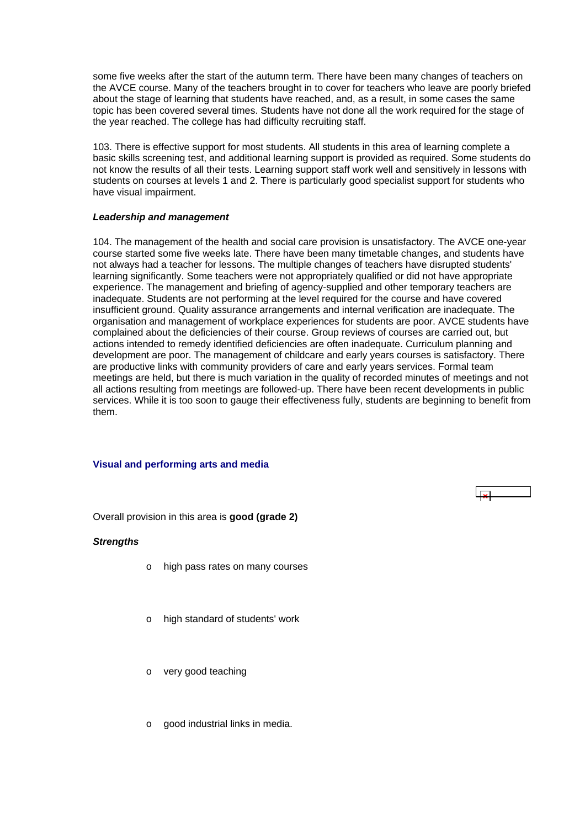<span id="page-37-0"></span>some five weeks after the start of the autumn term. There have been many changes of teachers on the AVCE course. Many of the teachers brought in to cover for teachers who leave are poorly briefed about the stage of learning that students have reached, and, as a result, in some cases the same topic has been covered several times. Students have not done all the work required for the stage of the year reached. The college has had difficulty recruiting staff.

103. There is effective support for most students. All students in this area of learning complete a basic skills screening test, and additional learning support is provided as required. Some students do not know the results of all their tests. Learning support staff work well and sensitively in lessons with students on courses at levels 1 and 2. There is particularly good specialist support for students who have visual impairment.

#### *Leadership and management*

104. The management of the health and social care provision is unsatisfactory. The AVCE one-year course started some five weeks late. There have been many timetable changes, and students have not always had a teacher for lessons. The multiple changes of teachers have disrupted students' learning significantly. Some teachers were not appropriately qualified or did not have appropriate experience. The management and briefing of agency-supplied and other temporary teachers are inadequate. Students are not performing at the level required for the course and have covered insufficient ground. Quality assurance arrangements and internal verification are inadequate. The organisation and management of workplace experiences for students are poor. AVCE students have complained about the deficiencies of their course. Group reviews of courses are carried out, but actions intended to remedy identified deficiencies are often inadequate. Curriculum planning and development are poor. The management of childcare and early years courses is satisfactory. There are productive links with community providers of care and early years services. Formal team meetings are held, but there is much variation in the quality of recorded minutes of meetings and not all actions resulting from meetings are followed-up. There have been recent developments in public services. While it is too soon to gauge their effectiveness fully, students are beginning to benefit from them.

#### **Visual and performing arts and media**

Overall provision in this area is **good (grade 2)**

#### *Strengths*

- o high pass rates on many courses
- o high standard of students' work
- o very good teaching
- o good industrial links in media.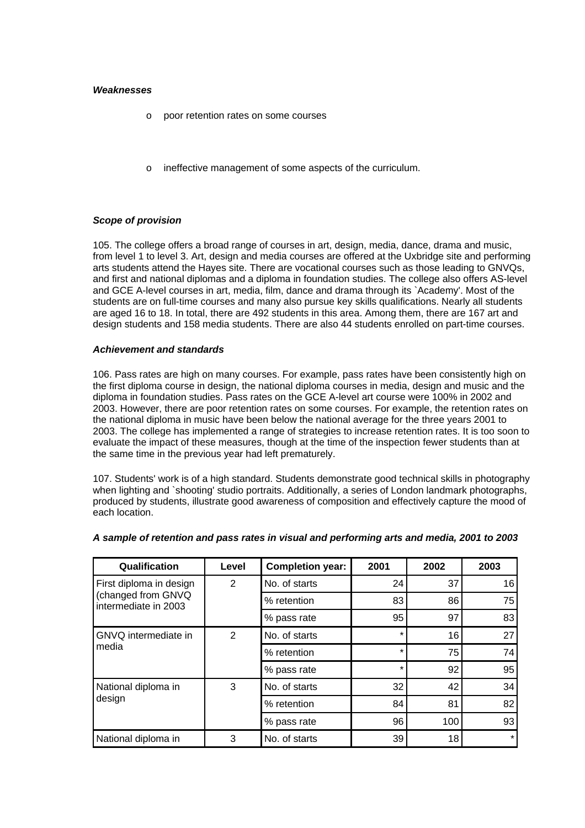#### *Weaknesses*

- o poor retention rates on some courses
- o ineffective management of some aspects of the curriculum.

## *Scope of provision*

105. The college offers a broad range of courses in art, design, media, dance, drama and music, from level 1 to level 3. Art, design and media courses are offered at the Uxbridge site and performing arts students attend the Hayes site. There are vocational courses such as those leading to GNVQs, and first and national diplomas and a diploma in foundation studies. The college also offers AS-level and GCE A-level courses in art, media, film, dance and drama through its `Academy'. Most of the students are on full-time courses and many also pursue key skills qualifications. Nearly all students are aged 16 to 18. In total, there are 492 students in this area. Among them, there are 167 art and design students and 158 media students. There are also 44 students enrolled on part-time courses.

#### *Achievement and standards*

106. Pass rates are high on many courses. For example, pass rates have been consistently high on the first diploma course in design, the national diploma courses in media, design and music and the diploma in foundation studies. Pass rates on the GCE A-level art course were 100% in 2002 and 2003. However, there are poor retention rates on some courses. For example, the retention rates on the national diploma in music have been below the national average for the three years 2001 to 2003. The college has implemented a range of strategies to increase retention rates. It is too soon to evaluate the impact of these measures, though at the time of the inspection fewer students than at the same time in the previous year had left prematurely.

107. Students' work is of a high standard. Students demonstrate good technical skills in photography when lighting and `shooting' studio portraits. Additionally, a series of London landmark photographs, produced by students, illustrate good awareness of composition and effectively capture the mood of each location.

| Qualification                              | Level | <b>Completion year:</b> | 2001    | 2002 | 2003 |
|--------------------------------------------|-------|-------------------------|---------|------|------|
| First diploma in design                    | 2     | No. of starts           | 24      | 37   | 16   |
| (changed from GNVQ<br>intermediate in 2003 |       | % retention             | 83      | 86   | 75   |
|                                            |       | % pass rate             | 95      | 97   | 83   |
| GNVQ intermediate in                       | 2     | No. of starts           | $\star$ | 16   | 27   |
| media                                      |       | % retention             | $\star$ | 75   | 74   |
|                                            |       | % pass rate             | $\star$ | 92   | 95   |
| National diploma in                        | 3     | No. of starts           | 32      | 42   | 34   |
| design                                     |       | % retention             | 84      | 81   | 82   |
|                                            |       | % pass rate             | 96      | 100  | 93   |
| National diploma in                        | 3     | No. of starts           | 39      | 18   |      |

## *A sample of retention and pass rates in visual and performing arts and media, 2001 to 2003*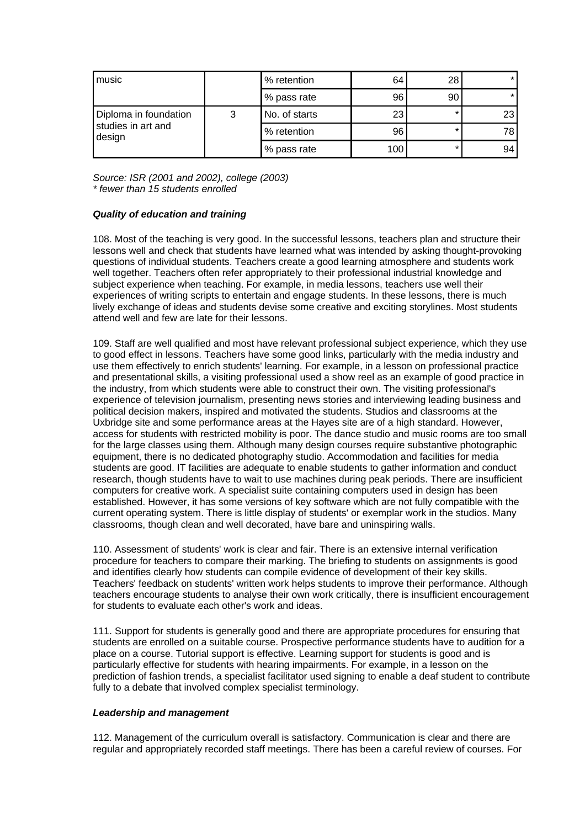| music                        |   | % retention   | 64  | 28      | $\star$ |
|------------------------------|---|---------------|-----|---------|---------|
|                              |   | % pass rate   | 96  | 90      |         |
| Diploma in foundation        | 3 | No. of starts | 23  | $\star$ | 23      |
| studies in art and<br>design |   | % retention   | 96  | $\star$ | 78      |
|                              |   | % pass rate   | 100 | $\star$ | 94      |

*Source: ISR (2001 and 2002), college (2003) \* fewer than 15 students enrolled*

## *Quality of education and training*

108. Most of the teaching is very good. In the successful lessons, teachers plan and structure their lessons well and check that students have learned what was intended by asking thought-provoking questions of individual students. Teachers create a good learning atmosphere and students work well together. Teachers often refer appropriately to their professional industrial knowledge and subject experience when teaching. For example, in media lessons, teachers use well their experiences of writing scripts to entertain and engage students. In these lessons, there is much lively exchange of ideas and students devise some creative and exciting storylines. Most students attend well and few are late for their lessons.

109. Staff are well qualified and most have relevant professional subject experience, which they use to good effect in lessons. Teachers have some good links, particularly with the media industry and use them effectively to enrich students' learning. For example, in a lesson on professional practice and presentational skills, a visiting professional used a show reel as an example of good practice in the industry, from which students were able to construct their own. The visiting professional's experience of television journalism, presenting news stories and interviewing leading business and political decision makers, inspired and motivated the students. Studios and classrooms at the Uxbridge site and some performance areas at the Hayes site are of a high standard. However, access for students with restricted mobility is poor. The dance studio and music rooms are too small for the large classes using them. Although many design courses require substantive photographic equipment, there is no dedicated photography studio. Accommodation and facilities for media students are good. IT facilities are adequate to enable students to gather information and conduct research, though students have to wait to use machines during peak periods. There are insufficient computers for creative work. A specialist suite containing computers used in design has been established. However, it has some versions of key software which are not fully compatible with the current operating system. There is little display of students' or exemplar work in the studios. Many classrooms, though clean and well decorated, have bare and uninspiring walls.

110. Assessment of students' work is clear and fair. There is an extensive internal verification procedure for teachers to compare their marking. The briefing to students on assignments is good and identifies clearly how students can compile evidence of development of their key skills. Teachers' feedback on students' written work helps students to improve their performance. Although teachers encourage students to analyse their own work critically, there is insufficient encouragement for students to evaluate each other's work and ideas.

111. Support for students is generally good and there are appropriate procedures for ensuring that students are enrolled on a suitable course. Prospective performance students have to audition for a place on a course. Tutorial support is effective. Learning support for students is good and is particularly effective for students with hearing impairments. For example, in a lesson on the prediction of fashion trends, a specialist facilitator used signing to enable a deaf student to contribute fully to a debate that involved complex specialist terminology.

#### *Leadership and management*

112. Management of the curriculum overall is satisfactory. Communication is clear and there are regular and appropriately recorded staff meetings. There has been a careful review of courses. For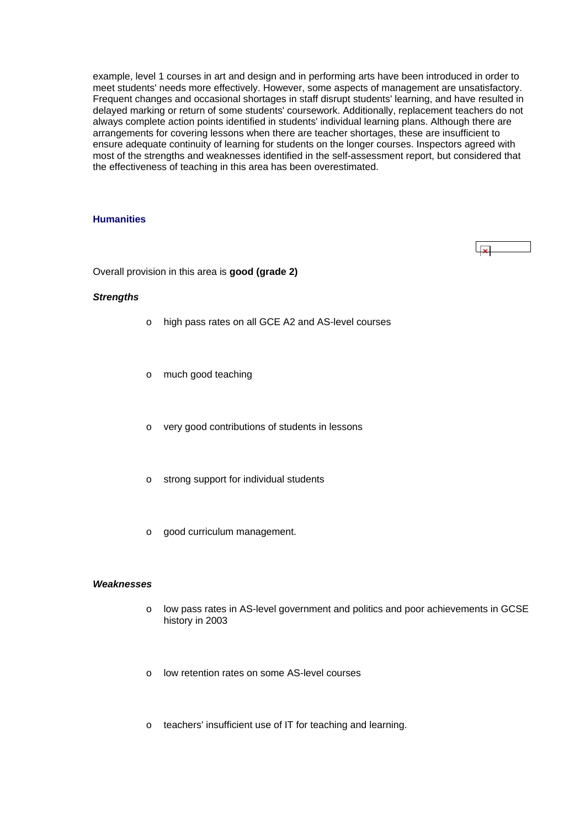<span id="page-40-0"></span>example, level 1 courses in art and design and in performing arts have been introduced in order to meet students' needs more effectively. However, some aspects of management are unsatisfactory. Frequent changes and occasional shortages in staff disrupt students' learning, and have resulted in delayed marking or return of some students' coursework. Additionally, replacement teachers do not always complete action points identified in students' individual learning plans. Although there are arrangements for covering lessons when there are teacher shortages, these are insufficient to ensure adequate continuity of learning for students on the longer courses. Inspectors agreed with most of the strengths and weaknesses identified in the self-assessment report, but considered that the effectiveness of teaching in this area has been overestimated.

## **Humanities**

Overall provision in this area is **good (grade 2)**

### *Strengths*

- o high pass rates on all GCE A2 and AS-level courses
- o much good teaching
- o very good contributions of students in lessons
- o strong support for individual students
- o good curriculum management.

#### *Weaknesses*

- o low pass rates in AS-level government and politics and poor achievements in GCSE history in 2003
- o low retention rates on some AS-level courses
- o teachers' insufficient use of IT for teaching and learning.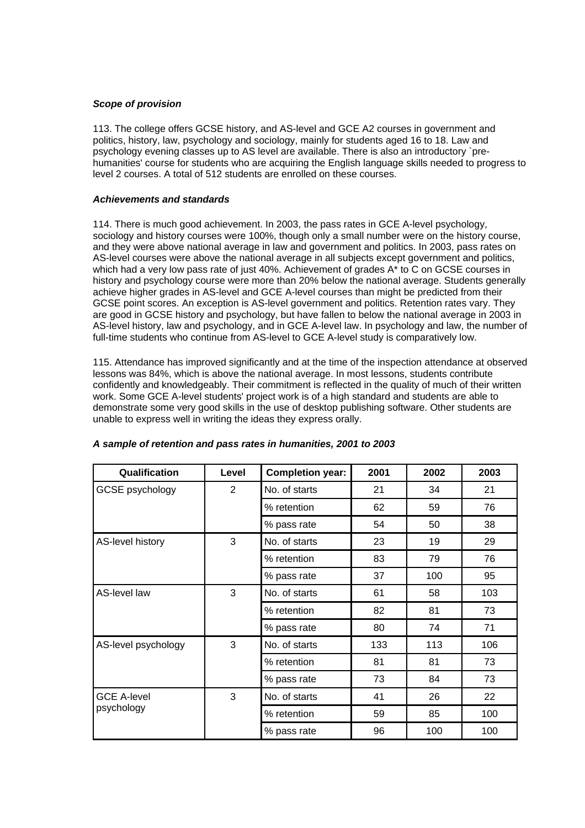## *Scope of provision*

113. The college offers GCSE history, and AS-level and GCE A2 courses in government and politics, history, law, psychology and sociology, mainly for students aged 16 to 18. Law and psychology evening classes up to AS level are available. There is also an introductory `prehumanities' course for students who are acquiring the English language skills needed to progress to level 2 courses. A total of 512 students are enrolled on these courses.

## *Achievements and standards*

114. There is much good achievement. In 2003, the pass rates in GCE A-level psychology, sociology and history courses were 100%, though only a small number were on the history course, and they were above national average in law and government and politics. In 2003, pass rates on AS-level courses were above the national average in all subjects except government and politics, which had a very low pass rate of just 40%. Achievement of grades A<sup>\*</sup> to C on GCSE courses in history and psychology course were more than 20% below the national average. Students generally achieve higher grades in AS-level and GCE A-level courses than might be predicted from their GCSE point scores. An exception is AS-level government and politics. Retention rates vary. They are good in GCSE history and psychology, but have fallen to below the national average in 2003 in AS-level history, law and psychology, and in GCE A-level law. In psychology and law, the number of full-time students who continue from AS-level to GCE A-level study is comparatively low.

115. Attendance has improved significantly and at the time of the inspection attendance at observed lessons was 84%, which is above the national average. In most lessons, students contribute confidently and knowledgeably. Their commitment is reflected in the quality of much of their written work. Some GCE A-level students' project work is of a high standard and students are able to demonstrate some very good skills in the use of desktop publishing software. Other students are unable to express well in writing the ideas they express orally.

| Qualification       | Level | <b>Completion year:</b> | 2001 | 2002 | 2003 |
|---------------------|-------|-------------------------|------|------|------|
| GCSE psychology     | 2     | No. of starts           | 21   | 34   | 21   |
|                     |       | % retention             | 62   | 59   | 76   |
|                     |       | % pass rate             | 54   | 50   | 38   |
| AS-level history    | 3     | No. of starts           | 23   | 19   | 29   |
|                     |       | % retention             | 83   | 79   | 76   |
|                     |       | % pass rate             | 37   | 100  | 95   |
| AS-level law        | 3     | No. of starts           | 61   | 58   | 103  |
|                     |       | % retention             | 82   | 81   | 73   |
|                     |       | % pass rate             | 80   | 74   | 71   |
| AS-level psychology | 3     | No. of starts           | 133  | 113  | 106  |
|                     |       | % retention             | 81   | 81   | 73   |
|                     |       | % pass rate             | 73   | 84   | 73   |
| <b>GCE A-level</b>  | 3     | No. of starts           | 41   | 26   | 22   |
| psychology          |       | % retention             | 59   | 85   | 100  |
|                     |       | % pass rate             | 96   | 100  | 100  |

|  |  |  | A sample of retention and pass rates in humanities, 2001 to 2003 |  |  |
|--|--|--|------------------------------------------------------------------|--|--|
|  |  |  |                                                                  |  |  |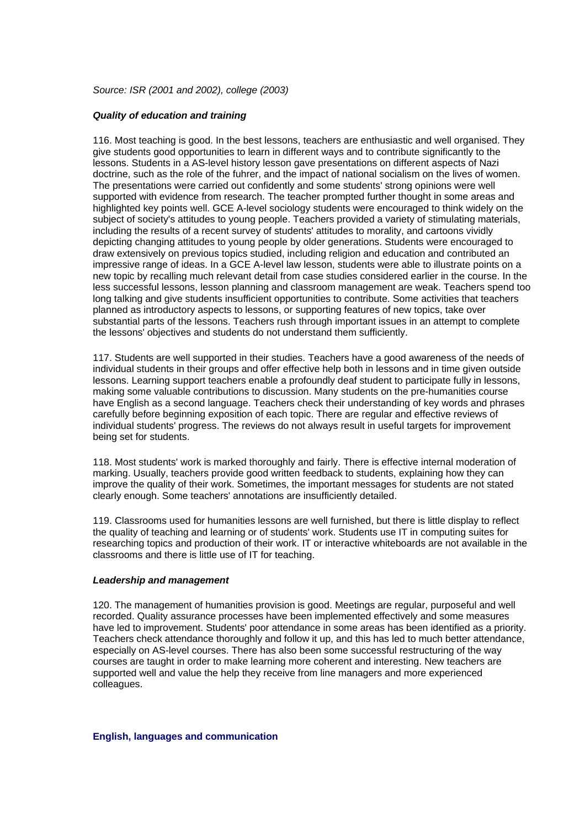<span id="page-42-0"></span>*Source: ISR (2001 and 2002), college (2003)*

### *Quality of education and training*

116. Most teaching is good. In the best lessons, teachers are enthusiastic and well organised. They give students good opportunities to learn in different ways and to contribute significantly to the lessons. Students in a AS-level history lesson gave presentations on different aspects of Nazi doctrine, such as the role of the fuhrer, and the impact of national socialism on the lives of women. The presentations were carried out confidently and some students' strong opinions were well supported with evidence from research. The teacher prompted further thought in some areas and highlighted key points well. GCE A-level sociology students were encouraged to think widely on the subject of society's attitudes to young people. Teachers provided a variety of stimulating materials, including the results of a recent survey of students' attitudes to morality, and cartoons vividly depicting changing attitudes to young people by older generations. Students were encouraged to draw extensively on previous topics studied, including religion and education and contributed an impressive range of ideas. In a GCE A-level law lesson, students were able to illustrate points on a new topic by recalling much relevant detail from case studies considered earlier in the course. In the less successful lessons, lesson planning and classroom management are weak. Teachers spend too long talking and give students insufficient opportunities to contribute. Some activities that teachers planned as introductory aspects to lessons, or supporting features of new topics, take over substantial parts of the lessons. Teachers rush through important issues in an attempt to complete the lessons' objectives and students do not understand them sufficiently.

117. Students are well supported in their studies. Teachers have a good awareness of the needs of individual students in their groups and offer effective help both in lessons and in time given outside lessons. Learning support teachers enable a profoundly deaf student to participate fully in lessons, making some valuable contributions to discussion. Many students on the pre-humanities course have English as a second language. Teachers check their understanding of key words and phrases carefully before beginning exposition of each topic. There are regular and effective reviews of individual students' progress. The reviews do not always result in useful targets for improvement being set for students.

118. Most students' work is marked thoroughly and fairly. There is effective internal moderation of marking. Usually, teachers provide good written feedback to students, explaining how they can improve the quality of their work. Sometimes, the important messages for students are not stated clearly enough. Some teachers' annotations are insufficiently detailed.

119. Classrooms used for humanities lessons are well furnished, but there is little display to reflect the quality of teaching and learning or of students' work. Students use IT in computing suites for researching topics and production of their work. IT or interactive whiteboards are not available in the classrooms and there is little use of IT for teaching.

#### *Leadership and management*

120. The management of humanities provision is good. Meetings are regular, purposeful and well recorded. Quality assurance processes have been implemented effectively and some measures have led to improvement. Students' poor attendance in some areas has been identified as a priority. Teachers check attendance thoroughly and follow it up, and this has led to much better attendance, especially on AS-level courses. There has also been some successful restructuring of the way courses are taught in order to make learning more coherent and interesting. New teachers are supported well and value the help they receive from line managers and more experienced colleagues.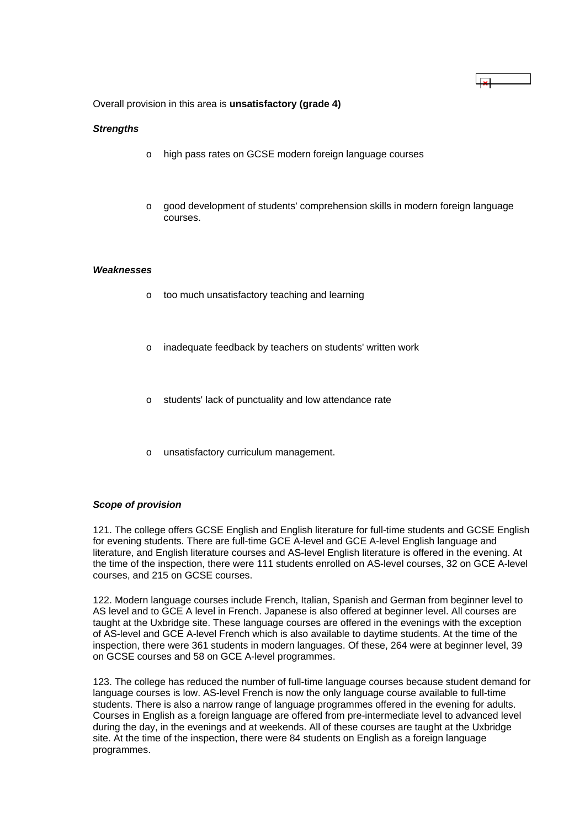Overall provision in this area is **unsatisfactory (grade 4)**

#### *Strengths*

- o high pass rates on GCSE modern foreign language courses
- good development of students' comprehension skills in modern foreign language courses.

 $\overline{\mathbf{r}}$ 

#### *Weaknesses*

- o too much unsatisfactory teaching and learning
- o inadequate feedback by teachers on students' written work
- o students' lack of punctuality and low attendance rate
- o unsatisfactory curriculum management.

#### *Scope of provision*

121. The college offers GCSE English and English literature for full-time students and GCSE English for evening students. There are full-time GCE A-level and GCE A-level English language and literature, and English literature courses and AS-level English literature is offered in the evening. At the time of the inspection, there were 111 students enrolled on AS-level courses, 32 on GCE A-level courses, and 215 on GCSE courses.

122. Modern language courses include French, Italian, Spanish and German from beginner level to AS level and to GCE A level in French. Japanese is also offered at beginner level. All courses are taught at the Uxbridge site. These language courses are offered in the evenings with the exception of AS-level and GCE A-level French which is also available to daytime students. At the time of the inspection, there were 361 students in modern languages. Of these, 264 were at beginner level, 39 on GCSE courses and 58 on GCE A-level programmes.

123. The college has reduced the number of full-time language courses because student demand for language courses is low. AS-level French is now the only language course available to full-time students. There is also a narrow range of language programmes offered in the evening for adults. Courses in English as a foreign language are offered from pre-intermediate level to advanced level during the day, in the evenings and at weekends. All of these courses are taught at the Uxbridge site. At the time of the inspection, there were 84 students on English as a foreign language programmes.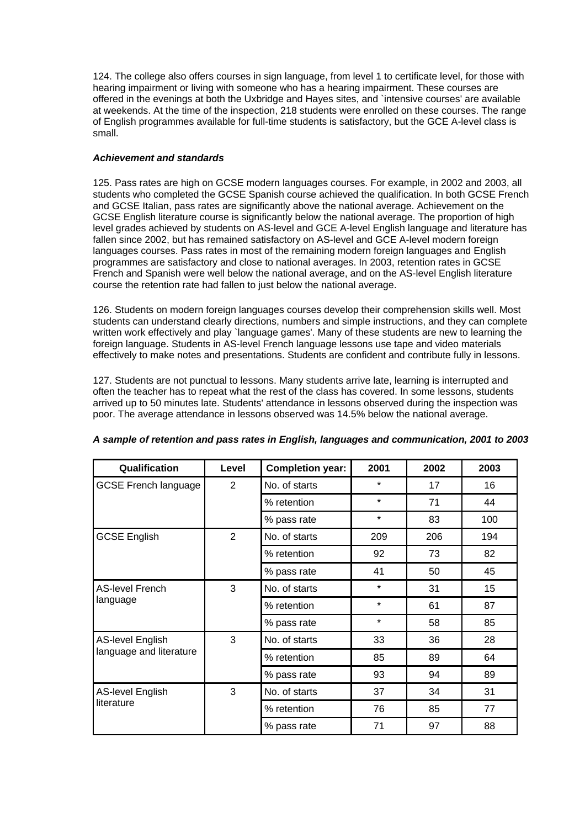124. The college also offers courses in sign language, from level 1 to certificate level, for those with hearing impairment or living with someone who has a hearing impairment. These courses are offered in the evenings at both the Uxbridge and Hayes sites, and `intensive courses' are available at weekends. At the time of the inspection, 218 students were enrolled on these courses. The range of English programmes available for full-time students is satisfactory, but the GCE A-level class is small.

## *Achievement and standards*

125. Pass rates are high on GCSE modern languages courses. For example, in 2002 and 2003, all students who completed the GCSE Spanish course achieved the qualification. In both GCSE French and GCSE Italian, pass rates are significantly above the national average. Achievement on the GCSE English literature course is significantly below the national average. The proportion of high level grades achieved by students on AS-level and GCE A-level English language and literature has fallen since 2002, but has remained satisfactory on AS-level and GCE A-level modern foreign languages courses. Pass rates in most of the remaining modern foreign languages and English programmes are satisfactory and close to national averages. In 2003, retention rates in GCSE French and Spanish were well below the national average, and on the AS-level English literature course the retention rate had fallen to just below the national average.

126. Students on modern foreign languages courses develop their comprehension skills well. Most students can understand clearly directions, numbers and simple instructions, and they can complete written work effectively and play `language games'. Many of these students are new to learning the foreign language. Students in AS-level French language lessons use tape and video materials effectively to make notes and presentations. Students are confident and contribute fully in lessons.

127. Students are not punctual to lessons. Many students arrive late, learning is interrupted and often the teacher has to repeat what the rest of the class has covered. In some lessons, students arrived up to 50 minutes late. Students' attendance in lessons observed during the inspection was poor. The average attendance in lessons observed was 14.5% below the national average.

| Qualification               | Level | <b>Completion year:</b> | 2001    | 2002 | 2003 |
|-----------------------------|-------|-------------------------|---------|------|------|
| <b>GCSE French language</b> | 2     | No. of starts           | *       | 17   | 16   |
|                             |       | % retention             | $\star$ | 71   | 44   |
|                             |       | % pass rate             | $\star$ | 83   | 100  |
| <b>GCSE English</b>         | 2     | No. of starts           | 209     | 206  | 194  |
|                             |       | % retention             | 92      | 73   | 82   |
|                             |       | % pass rate             | 41      | 50   | 45   |
| <b>AS-level French</b>      | 3     | No. of starts           | $\star$ | 31   | 15   |
| language                    |       | % retention             | *       | 61   | 87   |
|                             |       | % pass rate             | $\star$ | 58   | 85   |
| <b>AS-level English</b>     | 3     | No. of starts           | 33      | 36   | 28   |
| language and literature     |       | % retention             | 85      | 89   | 64   |
|                             |       | % pass rate             | 93      | 94   | 89   |
| <b>AS-level English</b>     | 3     | No. of starts           | 37      | 34   | 31   |
| literature                  |       | % retention             | 76      | 85   | 77   |
|                             |       | % pass rate             | 71      | 97   | 88   |

## *A sample of retention and pass rates in English, languages and communication, 2001 to 2003*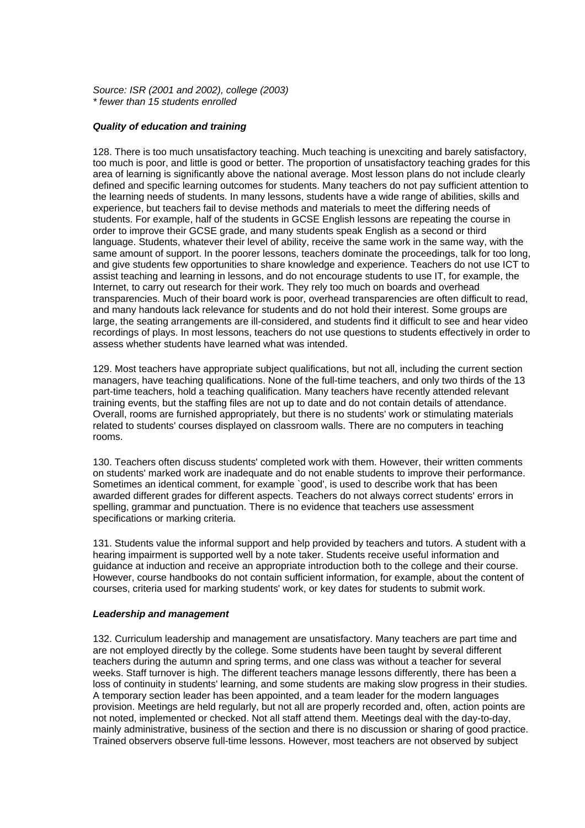*Source: ISR (2001 and 2002), college (2003) \* fewer than 15 students enrolled*

### *Quality of education and training*

128. There is too much unsatisfactory teaching. Much teaching is unexciting and barely satisfactory, too much is poor, and little is good or better. The proportion of unsatisfactory teaching grades for this area of learning is significantly above the national average. Most lesson plans do not include clearly defined and specific learning outcomes for students. Many teachers do not pay sufficient attention to the learning needs of students. In many lessons, students have a wide range of abilities, skills and experience, but teachers fail to devise methods and materials to meet the differing needs of students. For example, half of the students in GCSE English lessons are repeating the course in order to improve their GCSE grade, and many students speak English as a second or third language. Students, whatever their level of ability, receive the same work in the same way, with the same amount of support. In the poorer lessons, teachers dominate the proceedings, talk for too long, and give students few opportunities to share knowledge and experience. Teachers do not use ICT to assist teaching and learning in lessons, and do not encourage students to use IT, for example, the Internet, to carry out research for their work. They rely too much on boards and overhead transparencies. Much of their board work is poor, overhead transparencies are often difficult to read, and many handouts lack relevance for students and do not hold their interest. Some groups are large, the seating arrangements are ill-considered, and students find it difficult to see and hear video recordings of plays. In most lessons, teachers do not use questions to students effectively in order to assess whether students have learned what was intended.

129. Most teachers have appropriate subject qualifications, but not all, including the current section managers, have teaching qualifications. None of the full-time teachers, and only two thirds of the 13 part-time teachers, hold a teaching qualification. Many teachers have recently attended relevant training events, but the staffing files are not up to date and do not contain details of attendance. Overall, rooms are furnished appropriately, but there is no students' work or stimulating materials related to students' courses displayed on classroom walls. There are no computers in teaching rooms.

130. Teachers often discuss students' completed work with them. However, their written comments on students' marked work are inadequate and do not enable students to improve their performance. Sometimes an identical comment, for example `good', is used to describe work that has been awarded different grades for different aspects. Teachers do not always correct students' errors in spelling, grammar and punctuation. There is no evidence that teachers use assessment specifications or marking criteria.

131. Students value the informal support and help provided by teachers and tutors. A student with a hearing impairment is supported well by a note taker. Students receive useful information and guidance at induction and receive an appropriate introduction both to the college and their course. However, course handbooks do not contain sufficient information, for example, about the content of courses, criteria used for marking students' work, or key dates for students to submit work.

#### *Leadership and management*

132. Curriculum leadership and management are unsatisfactory. Many teachers are part time and are not employed directly by the college. Some students have been taught by several different teachers during the autumn and spring terms, and one class was without a teacher for several weeks. Staff turnover is high. The different teachers manage lessons differently, there has been a loss of continuity in students' learning, and some students are making slow progress in their studies. A temporary section leader has been appointed, and a team leader for the modern languages provision. Meetings are held regularly, but not all are properly recorded and, often, action points are not noted, implemented or checked. Not all staff attend them. Meetings deal with the day-to-day, mainly administrative, business of the section and there is no discussion or sharing of good practice. Trained observers observe full-time lessons. However, most teachers are not observed by subject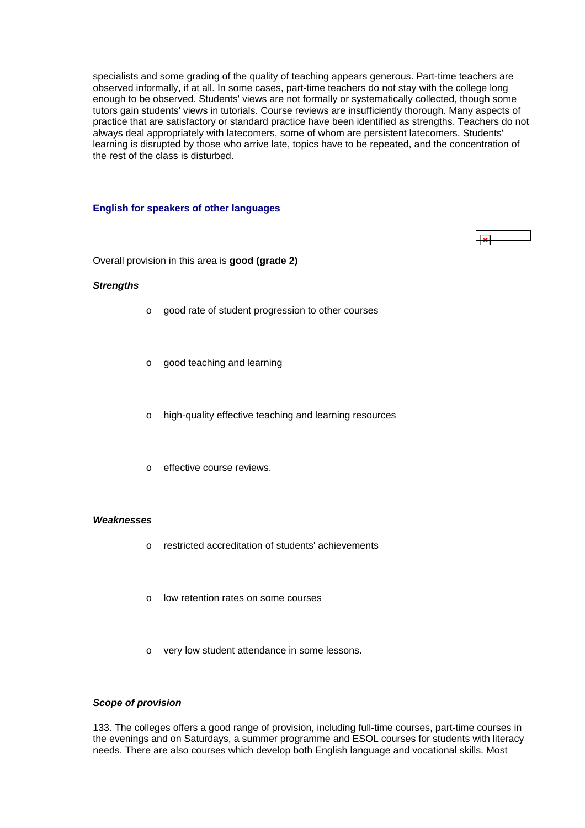<span id="page-46-0"></span>specialists and some grading of the quality of teaching appears generous. Part-time teachers are observed informally, if at all. In some cases, part-time teachers do not stay with the college long enough to be observed. Students' views are not formally or systematically collected, though some tutors gain students' views in tutorials. Course reviews are insufficiently thorough. Many aspects of practice that are satisfactory or standard practice have been identified as strengths. Teachers do not always deal appropriately with latecomers, some of whom are persistent latecomers. Students' learning is disrupted by those who arrive late, topics have to be repeated, and the concentration of the rest of the class is disturbed.

#### **English for speakers of other languages**

 $\mathbf{R}$ 

Overall provision in this area is **good (grade 2)**

#### *Strengths*

- o good rate of student progression to other courses
- o good teaching and learning
- o high-quality effective teaching and learning resources
- o effective course reviews.

#### *Weaknesses*

- o restricted accreditation of students' achievements
- o low retention rates on some courses
- o very low student attendance in some lessons.

#### *Scope of provision*

133. The colleges offers a good range of provision, including full-time courses, part-time courses in the evenings and on Saturdays, a summer programme and ESOL courses for students with literacy needs. There are also courses which develop both English language and vocational skills. Most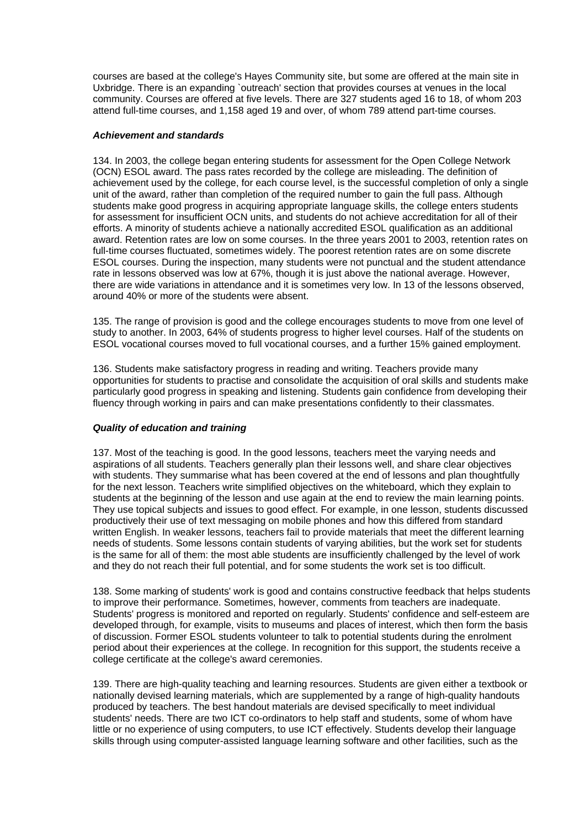courses are based at the college's Hayes Community site, but some are offered at the main site in Uxbridge. There is an expanding `outreach' section that provides courses at venues in the local community. Courses are offered at five levels. There are 327 students aged 16 to 18, of whom 203 attend full-time courses, and 1,158 aged 19 and over, of whom 789 attend part-time courses.

#### *Achievement and standards*

134. In 2003, the college began entering students for assessment for the Open College Network (OCN) ESOL award. The pass rates recorded by the college are misleading. The definition of achievement used by the college, for each course level, is the successful completion of only a single unit of the award, rather than completion of the required number to gain the full pass. Although students make good progress in acquiring appropriate language skills, the college enters students for assessment for insufficient OCN units, and students do not achieve accreditation for all of their efforts. A minority of students achieve a nationally accredited ESOL qualification as an additional award. Retention rates are low on some courses. In the three years 2001 to 2003, retention rates on full-time courses fluctuated, sometimes widely. The poorest retention rates are on some discrete ESOL courses. During the inspection, many students were not punctual and the student attendance rate in lessons observed was low at 67%, though it is just above the national average. However, there are wide variations in attendance and it is sometimes very low. In 13 of the lessons observed, around 40% or more of the students were absent.

135. The range of provision is good and the college encourages students to move from one level of study to another. In 2003, 64% of students progress to higher level courses. Half of the students on ESOL vocational courses moved to full vocational courses, and a further 15% gained employment.

136. Students make satisfactory progress in reading and writing. Teachers provide many opportunities for students to practise and consolidate the acquisition of oral skills and students make particularly good progress in speaking and listening. Students gain confidence from developing their fluency through working in pairs and can make presentations confidently to their classmates.

#### *Quality of education and training*

137. Most of the teaching is good. In the good lessons, teachers meet the varying needs and aspirations of all students. Teachers generally plan their lessons well, and share clear objectives with students. They summarise what has been covered at the end of lessons and plan thoughtfully for the next lesson. Teachers write simplified objectives on the whiteboard, which they explain to students at the beginning of the lesson and use again at the end to review the main learning points. They use topical subjects and issues to good effect. For example, in one lesson, students discussed productively their use of text messaging on mobile phones and how this differed from standard written English. In weaker lessons, teachers fail to provide materials that meet the different learning needs of students. Some lessons contain students of varying abilities, but the work set for students is the same for all of them: the most able students are insufficiently challenged by the level of work and they do not reach their full potential, and for some students the work set is too difficult.

138. Some marking of students' work is good and contains constructive feedback that helps students to improve their performance. Sometimes, however, comments from teachers are inadequate. Students' progress is monitored and reported on regularly. Students' confidence and self-esteem are developed through, for example, visits to museums and places of interest, which then form the basis of discussion. Former ESOL students volunteer to talk to potential students during the enrolment period about their experiences at the college. In recognition for this support, the students receive a college certificate at the college's award ceremonies.

139. There are high-quality teaching and learning resources. Students are given either a textbook or nationally devised learning materials, which are supplemented by a range of high-quality handouts produced by teachers. The best handout materials are devised specifically to meet individual students' needs. There are two ICT co-ordinators to help staff and students, some of whom have little or no experience of using computers, to use ICT effectively. Students develop their language skills through using computer-assisted language learning software and other facilities, such as the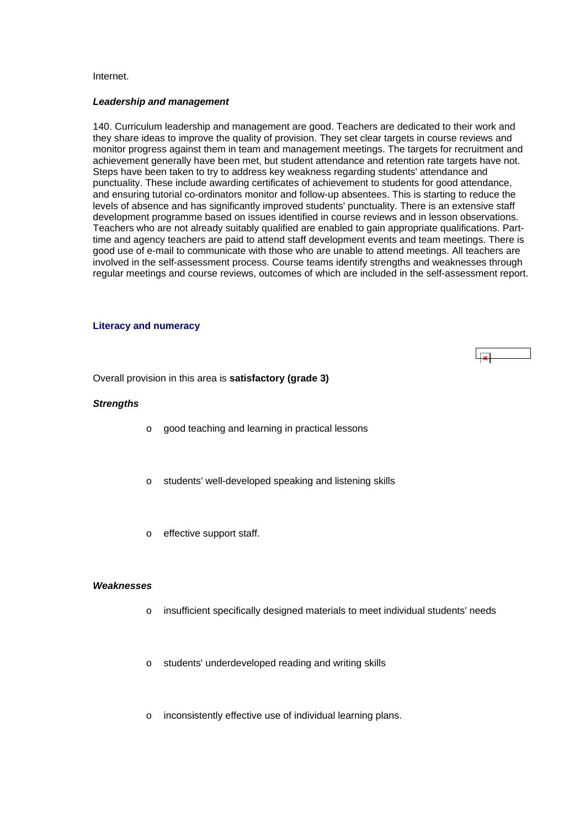#### <span id="page-48-0"></span>Internet.

#### *Leadership and management*

140. Curriculum leadership and management are good. Teachers are dedicated to their work and they share ideas to improve the quality of provision. They set clear targets in course reviews and monitor progress against them in team and management meetings. The targets for recruitment and achievement generally have been met, but student attendance and retention rate targets have not. Steps have been taken to try to address key weakness regarding students' attendance and punctuality. These include awarding certificates of achievement to students for good attendance, and ensuring tutorial co-ordinators monitor and follow-up absentees. This is starting to reduce the levels of absence and has significantly improved students' punctuality. There is an extensive staff development programme based on issues identified in course reviews and in lesson observations. Teachers who are not already suitably qualified are enabled to gain appropriate qualifications. Parttime and agency teachers are paid to attend staff development events and team meetings. There is good use of e-mail to communicate with those who are unable to attend meetings. All teachers are involved in the self-assessment process. Course teams identify strengths and weaknesses through regular meetings and course reviews, outcomes of which are included in the self-assessment report.

#### **Literacy and numeracy**

ا چا

Overall provision in this area is **satisfactory (grade 3)**

#### *Strengths*

- o good teaching and learning in practical lessons
- o students' well-developed speaking and listening skills
- o effective support staff.

#### *Weaknesses*

- o insufficient specifically designed materials to meet individual students' needs
- o students' underdeveloped reading and writing skills
- o inconsistently effective use of individual learning plans.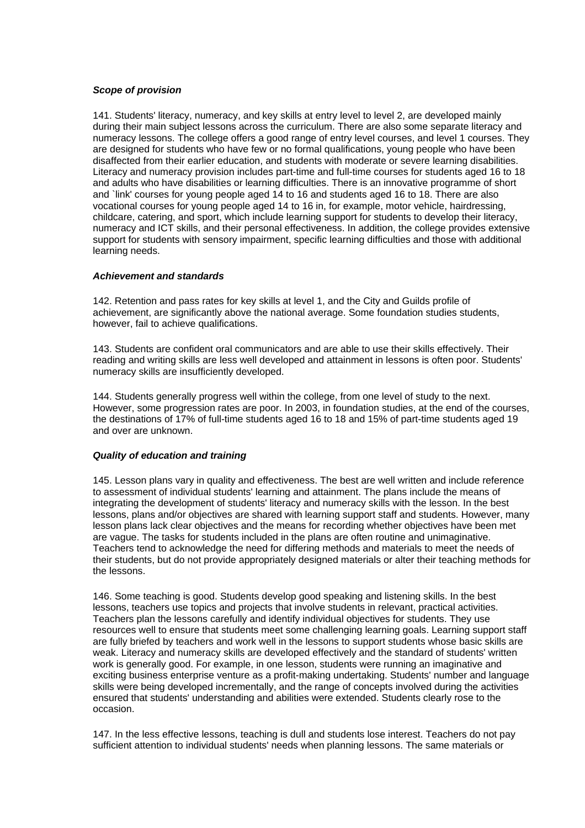## *Scope of provision*

141. Students' literacy, numeracy, and key skills at entry level to level 2, are developed mainly during their main subject lessons across the curriculum. There are also some separate literacy and numeracy lessons. The college offers a good range of entry level courses, and level 1 courses. They are designed for students who have few or no formal qualifications, young people who have been disaffected from their earlier education, and students with moderate or severe learning disabilities. Literacy and numeracy provision includes part-time and full-time courses for students aged 16 to 18 and adults who have disabilities or learning difficulties. There is an innovative programme of short and `link' courses for young people aged 14 to 16 and students aged 16 to 18. There are also vocational courses for young people aged 14 to 16 in, for example, motor vehicle, hairdressing, childcare, catering, and sport, which include learning support for students to develop their literacy, numeracy and ICT skills, and their personal effectiveness. In addition, the college provides extensive support for students with sensory impairment, specific learning difficulties and those with additional learning needs.

## *Achievement and standards*

142. Retention and pass rates for key skills at level 1, and the City and Guilds profile of achievement, are significantly above the national average. Some foundation studies students, however, fail to achieve qualifications.

143. Students are confident oral communicators and are able to use their skills effectively. Their reading and writing skills are less well developed and attainment in lessons is often poor. Students' numeracy skills are insufficiently developed.

144. Students generally progress well within the college, from one level of study to the next. However, some progression rates are poor. In 2003, in foundation studies, at the end of the courses, the destinations of 17% of full-time students aged 16 to 18 and 15% of part-time students aged 19 and over are unknown.

## *Quality of education and training*

145. Lesson plans vary in quality and effectiveness. The best are well written and include reference to assessment of individual students' learning and attainment. The plans include the means of integrating the development of students' literacy and numeracy skills with the lesson. In the best lessons, plans and/or objectives are shared with learning support staff and students. However, many lesson plans lack clear objectives and the means for recording whether objectives have been met are vague. The tasks for students included in the plans are often routine and unimaginative. Teachers tend to acknowledge the need for differing methods and materials to meet the needs of their students, but do not provide appropriately designed materials or alter their teaching methods for the lessons.

146. Some teaching is good. Students develop good speaking and listening skills. In the best lessons, teachers use topics and projects that involve students in relevant, practical activities. Teachers plan the lessons carefully and identify individual objectives for students. They use resources well to ensure that students meet some challenging learning goals. Learning support staff are fully briefed by teachers and work well in the lessons to support students whose basic skills are weak. Literacy and numeracy skills are developed effectively and the standard of students' written work is generally good. For example, in one lesson, students were running an imaginative and exciting business enterprise venture as a profit-making undertaking. Students' number and language skills were being developed incrementally, and the range of concepts involved during the activities ensured that students' understanding and abilities were extended. Students clearly rose to the occasion.

147. In the less effective lessons, teaching is dull and students lose interest. Teachers do not pay sufficient attention to individual students' needs when planning lessons. The same materials or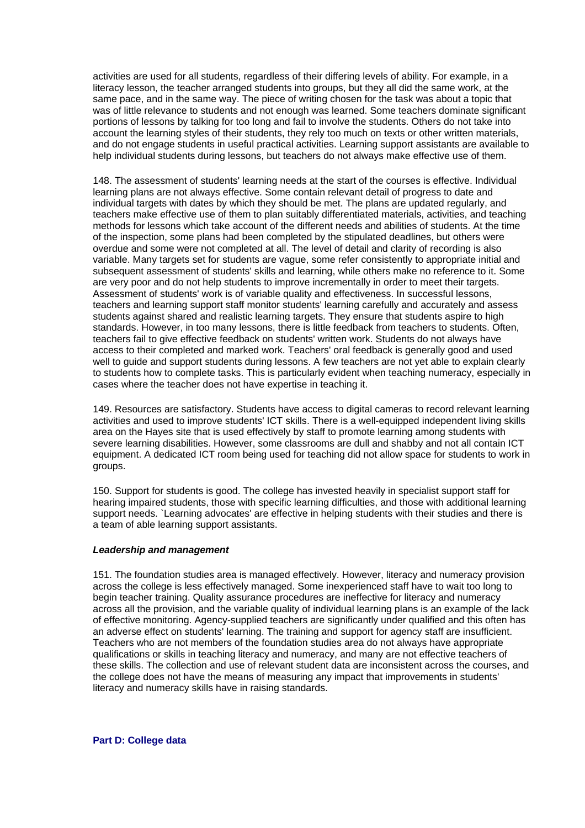<span id="page-50-0"></span>activities are used for all students, regardless of their differing levels of ability. For example, in a literacy lesson, the teacher arranged students into groups, but they all did the same work, at the same pace, and in the same way. The piece of writing chosen for the task was about a topic that was of little relevance to students and not enough was learned. Some teachers dominate significant portions of lessons by talking for too long and fail to involve the students. Others do not take into account the learning styles of their students, they rely too much on texts or other written materials, and do not engage students in useful practical activities. Learning support assistants are available to help individual students during lessons, but teachers do not always make effective use of them.

148. The assessment of students' learning needs at the start of the courses is effective. Individual learning plans are not always effective. Some contain relevant detail of progress to date and individual targets with dates by which they should be met. The plans are updated regularly, and teachers make effective use of them to plan suitably differentiated materials, activities, and teaching methods for lessons which take account of the different needs and abilities of students. At the time of the inspection, some plans had been completed by the stipulated deadlines, but others were overdue and some were not completed at all. The level of detail and clarity of recording is also variable. Many targets set for students are vague, some refer consistently to appropriate initial and subsequent assessment of students' skills and learning, while others make no reference to it. Some are very poor and do not help students to improve incrementally in order to meet their targets. Assessment of students' work is of variable quality and effectiveness. In successful lessons, teachers and learning support staff monitor students' learning carefully and accurately and assess students against shared and realistic learning targets. They ensure that students aspire to high standards. However, in too many lessons, there is little feedback from teachers to students. Often, teachers fail to give effective feedback on students' written work. Students do not always have access to their completed and marked work. Teachers' oral feedback is generally good and used well to quide and support students during lessons. A few teachers are not yet able to explain clearly to students how to complete tasks. This is particularly evident when teaching numeracy, especially in cases where the teacher does not have expertise in teaching it.

149. Resources are satisfactory. Students have access to digital cameras to record relevant learning activities and used to improve students' ICT skills. There is a well-equipped independent living skills area on the Hayes site that is used effectively by staff to promote learning among students with severe learning disabilities. However, some classrooms are dull and shabby and not all contain ICT equipment. A dedicated ICT room being used for teaching did not allow space for students to work in groups.

150. Support for students is good. The college has invested heavily in specialist support staff for hearing impaired students, those with specific learning difficulties, and those with additional learning support needs. `Learning advocates' are effective in helping students with their studies and there is a team of able learning support assistants.

#### *Leadership and management*

151. The foundation studies area is managed effectively. However, literacy and numeracy provision across the college is less effectively managed. Some inexperienced staff have to wait too long to begin teacher training. Quality assurance procedures are ineffective for literacy and numeracy across all the provision, and the variable quality of individual learning plans is an example of the lack of effective monitoring. Agency-supplied teachers are significantly under qualified and this often has an adverse effect on students' learning. The training and support for agency staff are insufficient. Teachers who are not members of the foundation studies area do not always have appropriate qualifications or skills in teaching literacy and numeracy, and many are not effective teachers of these skills. The collection and use of relevant student data are inconsistent across the courses, and the college does not have the means of measuring any impact that improvements in students' literacy and numeracy skills have in raising standards.

**Part D: College data**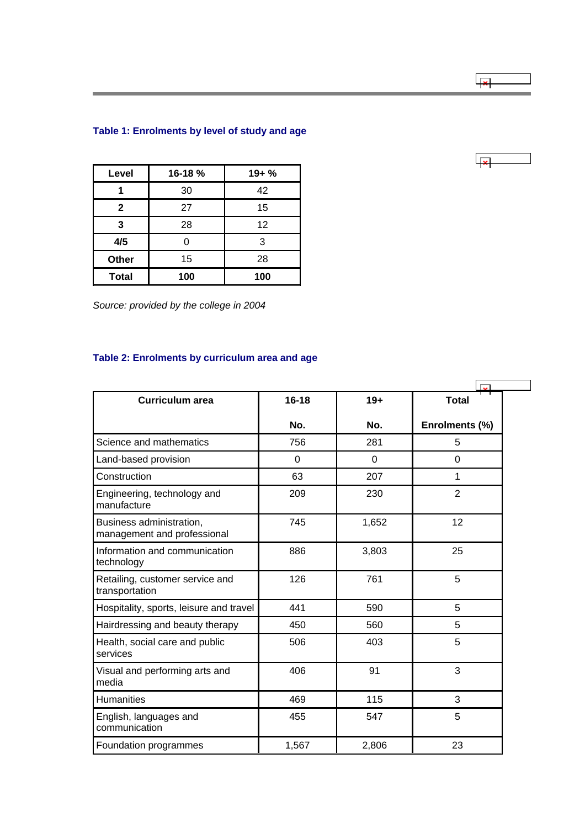# <span id="page-51-0"></span>**Table 1: Enrolments by level of study and age**

| Level        | 16-18 % | $19 + \%$ |
|--------------|---------|-----------|
|              | 30      | 42        |
| $\mathbf{2}$ | 27      | 15        |
| 3            | 28      | 12        |
| 4/5          | 0       | 3         |
| Other        | 15      | 28        |
| <b>Total</b> | 100     | 100       |

*Source: provided by the college in 2004*

# **Table 2: Enrolments by curriculum area and age**

| <b>Curriculum area</b>                                  | $16 - 18$ | $19+$    | <b>Total</b>   |
|---------------------------------------------------------|-----------|----------|----------------|
|                                                         | No.       | No.      | Enrolments (%) |
| Science and mathematics                                 | 756       | 281      | 5              |
| Land-based provision                                    | $\Omega$  | $\Omega$ | 0              |
| Construction                                            | 63        | 207      | 1              |
| Engineering, technology and<br>manufacture              | 209       | 230      | $\overline{2}$ |
| Business administration,<br>management and professional | 745       | 1,652    | 12             |
| Information and communication<br>technology             | 886       | 3,803    | 25             |
| Retailing, customer service and<br>transportation       | 126       | 761      | 5              |
| Hospitality, sports, leisure and travel                 | 441       | 590      | 5              |
| Hairdressing and beauty therapy                         | 450       | 560      | 5              |
| Health, social care and public<br>services              | 506       | 403      | 5              |
| Visual and performing arts and<br>media                 | 406       | 91       | 3              |
| <b>Humanities</b>                                       | 469       | 115      | 3              |
| English, languages and<br>communication                 | 455       | 547      | 5              |
| Foundation programmes                                   | 1,567     | 2,806    | 23             |

ا جرا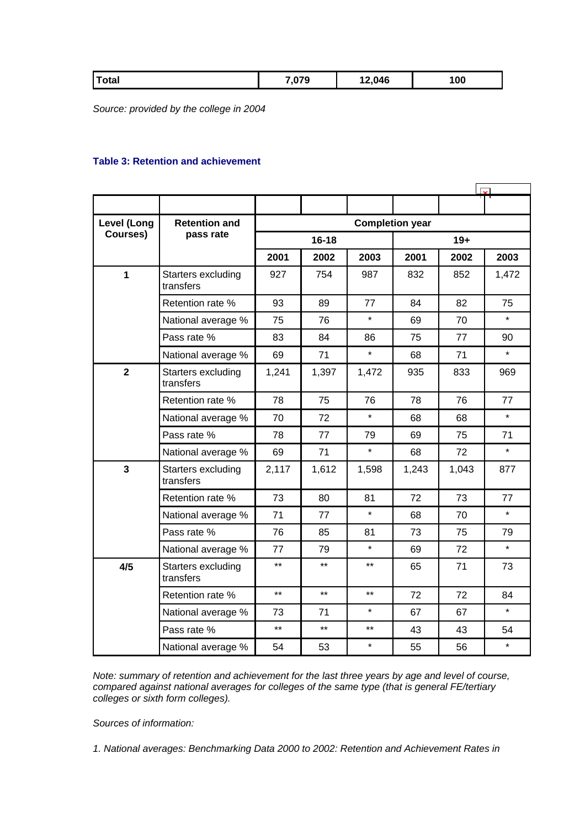<span id="page-52-0"></span>

| <b>Total</b><br>070<br>12,046<br>100 |
|--------------------------------------|
|--------------------------------------|

*Source: provided by the college in 2004*

## **Table 3: Retention and achievement**

| <b>Level (Long</b>      | <b>Retention and</b><br>pass rate | <b>Completion year</b> |       |         |       |       |         |  |
|-------------------------|-----------------------------------|------------------------|-------|---------|-------|-------|---------|--|
| Courses)                |                                   | $16 - 18$              |       |         | $19+$ |       |         |  |
|                         |                                   | 2001                   | 2002  | 2003    | 2001  | 2002  | 2003    |  |
| 1                       | Starters excluding<br>transfers   | 927                    | 754   | 987     | 832   | 852   | 1,472   |  |
|                         | Retention rate %                  | 93                     | 89    | 77      | 84    | 82    | 75      |  |
|                         | National average %                | 75                     | 76    | $\star$ | 69    | 70    | $\star$ |  |
|                         | Pass rate %                       | 83                     | 84    | 86      | 75    | 77    | 90      |  |
|                         | National average %                | 69                     | 71    | $\star$ | 68    | 71    | $\star$ |  |
| $\overline{2}$          | Starters excluding<br>transfers   | 1,241                  | 1,397 | 1,472   | 935   | 833   | 969     |  |
|                         | Retention rate %                  | 78                     | 75    | 76      | 78    | 76    | 77      |  |
|                         | National average %                | 70                     | 72    | $\star$ | 68    | 68    | $\star$ |  |
|                         | Pass rate %                       | 78                     | 77    | 79      | 69    | 75    | 71      |  |
|                         | National average %                | 69                     | 71    | $\star$ | 68    | 72    | $\star$ |  |
| $\overline{\mathbf{3}}$ | Starters excluding<br>transfers   | 2,117                  | 1,612 | 1,598   | 1,243 | 1,043 | 877     |  |
|                         | Retention rate %                  | 73                     | 80    | 81      | 72    | 73    | 77      |  |
|                         | National average %                | 71                     | 77    | $\star$ | 68    | 70    | $\star$ |  |
|                         | Pass rate %                       | 76                     | 85    | 81      | 73    | 75    | 79      |  |
|                         | National average %                | 77                     | 79    | $\star$ | 69    | 72    | $\star$ |  |
| 4/5                     | Starters excluding<br>transfers   | $***$                  | $***$ | $***$   | 65    | 71    | 73      |  |
|                         | Retention rate %                  | $**$                   | $***$ | $**$    | 72    | 72    | 84      |  |
|                         | National average %                | 73                     | 71    | $\star$ | 67    | 67    | $\star$ |  |
|                         | Pass rate %                       | $***$                  | $***$ | $**$    | 43    | 43    | 54      |  |
|                         | National average %                | 54                     | 53    | $\star$ | 55    | 56    | $\star$ |  |

*Note: summary of retention and achievement for the last three years by age and level of course, compared against national averages for colleges of the same type (that is general FE/tertiary colleges or sixth form colleges).*

*Sources of information:* 

*1. National averages: Benchmarking Data 2000 to 2002: Retention and Achievement Rates in*